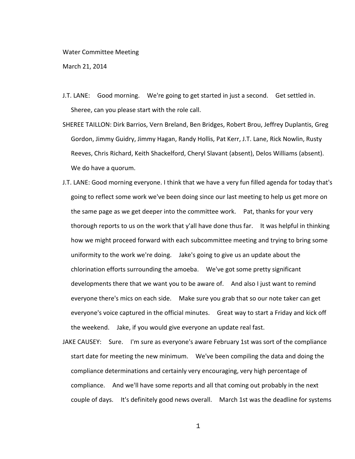## Water Committee Meeting

March 21, 2014

- J.T. LANE: Good morning. We're going to get started in just a second. Get settled in. Sheree, can you please start with the role call.
- SHEREE TAILLON: Dirk Barrios, Vern Breland, Ben Bridges, Robert Brou, Jeffrey Duplantis, Greg Gordon, Jimmy Guidry, Jimmy Hagan, Randy Hollis, Pat Kerr, J.T. Lane, Rick Nowlin, Rusty Reeves, Chris Richard, Keith Shackelford, Cheryl Slavant (absent), Delos Williams (absent). We do have a quorum.
- J.T. LANE: Good morning everyone. I think that we have a very fun filled agenda for today that's going to reflect some work we've been doing since our last meeting to help us get more on the same page as we get deeper into the committee work. Pat, thanks for your very thorough reports to us on the work that y'all have done thus far. It was helpful in thinking how we might proceed forward with each subcommittee meeting and trying to bring some uniformity to the work we're doing. Jake's going to give us an update about the chlorination efforts surrounding the amoeba. We've got some pretty significant developments there that we want you to be aware of. And also I just want to remind everyone there's mics on each side. Make sure you grab that so our note taker can get everyone's voice captured in the official minutes. Great way to start a Friday and kick off the weekend. Jake, if you would give everyone an update real fast.
- JAKE CAUSEY: Sure. I'm sure as everyone's aware February 1st was sort of the compliance start date for meeting the new minimum. We've been compiling the data and doing the compliance determinations and certainly very encouraging, very high percentage of compliance. And we'll have some reports and all that coming out probably in the next couple of days. It's definitely good news overall. March 1st was the deadline for systems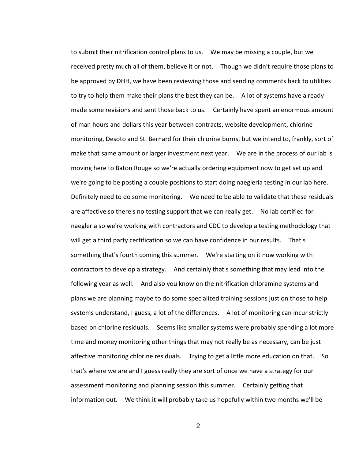to submit their nitrification control plans to us. We may be missing a couple, but we received pretty much all of them, believe it or not. Though we didn't require those plans to be approved by DHH, we have been reviewing those and sending comments back to utilities to try to help them make their plans the best they can be. A lot of systems have already made some revisions and sent those back to us. Certainly have spent an enormous amount of man hours and dollars this year between contracts, website development, chlorine monitoring, Desoto and St. Bernard for their chlorine burns, but we intend to, frankly, sort of make that same amount or larger investment next year. We are in the process of our lab is moving here to Baton Rouge so we're actually ordering equipment now to get set up and we're going to be posting a couple positions to start doing naegleria testing in our lab here. Definitely need to do some monitoring. We need to be able to validate that these residuals are affective so there's no testing support that we can really get. No lab certified for naegleria so we're working with contractors and CDC to develop a testing methodology that will get a third party certification so we can have confidence in our results. That's something that's fourth coming this summer. We're starting on it now working with contractors to develop a strategy. And certainly that's something that may lead into the following year as well. And also you know on the nitrification chloramine systems and plans we are planning maybe to do some specialized training sessions just on those to help systems understand, I guess, a lot of the differences. A lot of monitoring can incur strictly based on chlorine residuals. Seems like smaller systems were probably spending a lot more time and money monitoring other things that may not really be as necessary, can be just affective monitoring chlorine residuals. Trying to get a little more education on that. So that's where we are and I guess really they are sort of once we have a strategy for our assessment monitoring and planning session this summer. Certainly getting that information out. We think it will probably take us hopefully within two months we'll be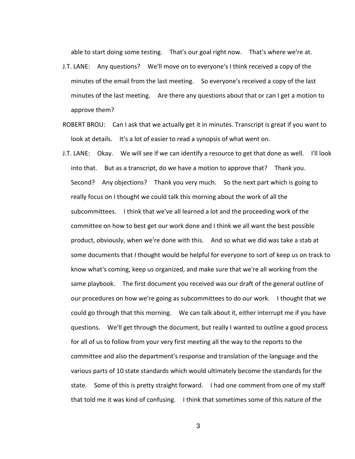able to start doing some testing. That's our goal right now. That's where we're at.

- J.T. LANE: Any questions? We'll move on to everyone's I think received a copy of the minutes of the email from the last meeting. So everyone's received a copy of the last minutes of the last meeting. Are there any questions about that or can I get a motion to approve them?
- ROBERT BROU: Can I ask that we actually get it in minutes. Transcript is great if you want to look at details. It's a lot of easier to read a synopsis of what went on.
- J.T. LANE: Okay. We will see if we can identify a resource to get that done as well. I'll look into that. But as a transcript, do we have a motion to approve that? Thank you. Second? Any objections? Thank you very much. So the next part which is going to really focus on I thought we could talk this morning about the work of all the subcommittees. I think that we've all learned a lot and the proceeding work of the committee on how to best get our work done and I think we all want the best possible product, obviously, when we're done with this. And so what we did was take a stab at some documents that I thought would be helpful for everyone to sort of keep us on track to know what's coming, keep us organized, and make sure that we're all working from the same playbook. The first document you received was our draft of the general outline of our procedures on how we're going as subcommittees to do our work. I thought that we could go through that this morning. We can talk about it, either interrupt me if you have questions. We'll get through the document, but really I wanted to outline a good process for all of us to follow from your very first meeting all the way to the reports to the committee and also the department's response and translation of the language and the various parts of 10 state standards which would ultimately become the standards for the state. Some of this is pretty straight forward. I had one comment from one of my staff that told me it was kind of confusing. I think that sometimes some of this nature of the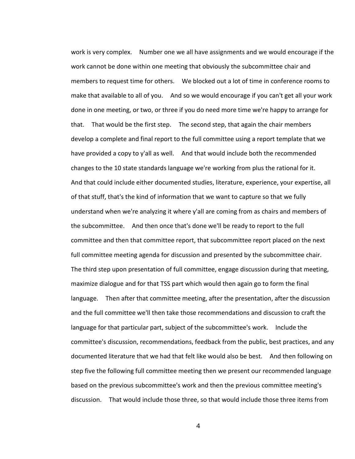work is very complex. Number one we all have assignments and we would encourage if the work cannot be done within one meeting that obviously the subcommittee chair and members to request time for others. We blocked out a lot of time in conference rooms to make that available to all of you. And so we would encourage if you can't get all your work done in one meeting, or two, or three if you do need more time we're happy to arrange for that. That would be the first step. The second step, that again the chair members develop a complete and final report to the full committee using a report template that we have provided a copy to y'all as well. And that would include both the recommended changes to the 10 state standards language we're working from plus the rational for it. And that could include either documented studies, literature, experience, your expertise, all of that stuff, that's the kind of information that we want to capture so that we fully understand when we're analyzing it where y'all are coming from as chairs and members of the subcommittee. And then once that's done we'll be ready to report to the full committee and then that committee report, that subcommittee report placed on the next full committee meeting agenda for discussion and presented by the subcommittee chair. The third step upon presentation of full committee, engage discussion during that meeting, maximize dialogue and for that TSS part which would then again go to form the final language. Then after that committee meeting, after the presentation, after the discussion and the full committee we'll then take those recommendations and discussion to craft the language for that particular part, subject of the subcommittee's work. Include the committee's discussion, recommendations, feedback from the public, best practices, and any documented literature that we had that felt like would also be best. And then following on step five the following full committee meeting then we present our recommended language based on the previous subcommittee's work and then the previous committee meeting's discussion. That would include those three, so that would include those three items from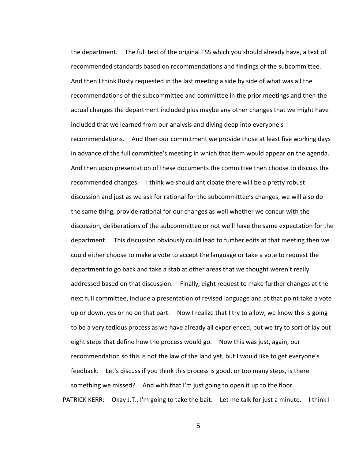the department. The full text of the original TSS which you should already have, a text of recommended standards based on recommendations and findings of the subcommittee. And then I think Rusty requested in the last meeting a side by side of what was all the recommendations of the subcommittee and committee in the prior meetings and then the actual changes the department included plus maybe any other changes that we might have included that we learned from our analysis and diving deep into everyone's recommendations. And then our commitment we provide those at least five working days in advance of the full committee's meeting in which that item would appear on the agenda. And then upon presentation of these documents the committee then choose to discuss the recommended changes. I think we should anticipate there will be a pretty robust discussion and just as we ask for rational for the subcommittee's changes, we will also do the same thing, provide rational for our changes as well whether we concur with the discussion, deliberations of the subcommittee or not we'll have the same expectation for the department. This discussion obviously could lead to further edits at that meeting then we could either choose to make a vote to accept the language or take a vote to request the department to go back and take a stab at other areas that we thought weren't really addressed based on that discussion. Finally, eight request to make further changes at the next full committee, include a presentation of revised language and at that point take a vote up or down, yes or no on that part. Now I realize that I try to allow, we know this is going to be a very tedious process as we have already all experienced, but we try to sort of lay out eight steps that define how the process would go. Now this was just, again, our recommendation so this is not the law of the land yet, but I would like to get everyone's feedback. Let's discuss if you think this process is good, or too many steps, is there something we missed? And with that I'm just going to open it up to the floor. PATRICK KERR: Okay J.T., I'm going to take the bait. Let me talk for just a minute. I think I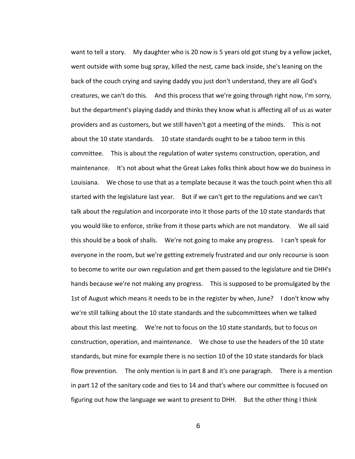want to tell a story. My daughter who is 20 now is 5 years old got stung by a yellow jacket, went outside with some bug spray, killed the nest, came back inside, she's leaning on the back of the couch crying and saying daddy you just don't understand, they are all God's creatures, we can't do this. And this process that we're going through right now, I'm sorry, but the department's playing daddy and thinks they know what is affecting all of us as water providers and as customers, but we still haven't got a meeting of the minds. This is not about the 10 state standards. 10 state standards ought to be a taboo term in this committee. This is about the regulation of water systems construction, operation, and maintenance. It's not about what the Great Lakes folks think about how we do business in Louisiana. We chose to use that as a template because it was the touch point when this all started with the legislature last year. But if we can't get to the regulations and we can't talk about the regulation and incorporate into it those parts of the 10 state standards that you would like to enforce, strike from it those parts which are not mandatory. We all said this should be a book of shalls. We're not going to make any progress. I can't speak for everyone in the room, but we're getting extremely frustrated and our only recourse is soon to become to write our own regulation and get them passed to the legislature and tie DHH's hands because we're not making any progress. This is supposed to be promulgated by the 1st of August which means it needs to be in the register by when, June? I don't know why we're still talking about the 10 state standards and the subcommittees when we talked about this last meeting. We're not to focus on the 10 state standards, but to focus on construction, operation, and maintenance. We chose to use the headers of the 10 state standards, but mine for example there is no section 10 of the 10 state standards for black flow prevention. The only mention is in part 8 and it's one paragraph. There is a mention in part 12 of the sanitary code and ties to 14 and that's where our committee is focused on figuring out how the language we want to present to DHH. But the other thing I think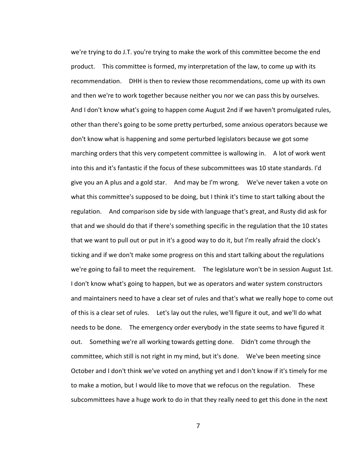we're trying to do J.T. you're trying to make the work of this committee become the end product. This committee is formed, my interpretation of the law, to come up with its recommendation. DHH is then to review those recommendations, come up with its own and then we're to work together because neither you nor we can pass this by ourselves. And I don't know what's going to happen come August 2nd if we haven't promulgated rules, other than there's going to be some pretty perturbed, some anxious operators because we don't know what is happening and some perturbed legislators because we got some marching orders that this very competent committee is wallowing in. A lot of work went into this and it's fantastic if the focus of these subcommittees was 10 state standards. I'd give you an A plus and a gold star. And may be I'm wrong. We've never taken a vote on what this committee's supposed to be doing, but I think it's time to start talking about the regulation. And comparison side by side with language that's great, and Rusty did ask for that and we should do that if there's something specific in the regulation that the 10 states that we want to pull out or put in it's a good way to do it, but I'm really afraid the clock's ticking and if we don't make some progress on this and start talking about the regulations we're going to fail to meet the requirement. The legislature won't be in session August 1st. I don't know what's going to happen, but we as operators and water system constructors and maintainers need to have a clear set of rules and that's what we really hope to come out of this is a clear set of rules. Let's lay out the rules, we'll figure it out, and we'll do what needs to be done. The emergency order everybody in the state seems to have figured it out. Something we're all working towards getting done. Didn't come through the committee, which still is not right in my mind, but it's done. We've been meeting since October and I don't think we've voted on anything yet and I don't know if it's timely for me to make a motion, but I would like to move that we refocus on the regulation. These subcommittees have a huge work to do in that they really need to get this done in the next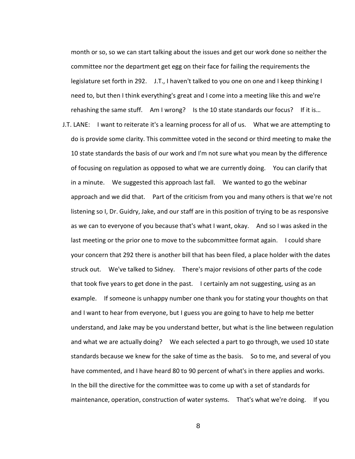month or so, so we can start talking about the issues and get our work done so neither the committee nor the department get egg on their face for failing the requirements the legislature set forth in 292. J.T., I haven't talked to you one on one and I keep thinking I need to, but then I think everything's great and I come into a meeting like this and we're rehashing the same stuff. Am I wrong? Is the 10 state standards our focus? If it is…

J.T. LANE: I want to reiterate it's a learning process for all of us. What we are attempting to do is provide some clarity. This committee voted in the second or third meeting to make the 10 state standards the basis of our work and I'm not sure what you mean by the difference of focusing on regulation as opposed to what we are currently doing. You can clarify that in a minute. We suggested this approach last fall. We wanted to go the webinar approach and we did that. Part of the criticism from you and many others is that we're not listening so I, Dr. Guidry, Jake, and our staff are in this position of trying to be as responsive as we can to everyone of you because that's what I want, okay. And so I was asked in the last meeting or the prior one to move to the subcommittee format again. I could share your concern that 292 there is another bill that has been filed, a place holder with the dates struck out. We've talked to Sidney. There's major revisions of other parts of the code that took five years to get done in the past. I certainly am not suggesting, using as an example. If someone is unhappy number one thank you for stating your thoughts on that and I want to hear from everyone, but I guess you are going to have to help me better understand, and Jake may be you understand better, but what is the line between regulation and what we are actually doing? We each selected a part to go through, we used 10 state standards because we knew for the sake of time as the basis. So to me, and several of you have commented, and I have heard 80 to 90 percent of what's in there applies and works. In the bill the directive for the committee was to come up with a set of standards for maintenance, operation, construction of water systems. That's what we're doing. If you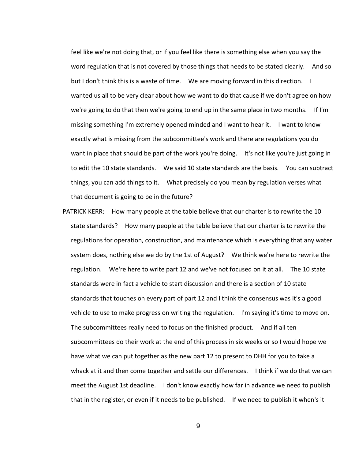feel like we're not doing that, or if you feel like there is something else when you say the word regulation that is not covered by those things that needs to be stated clearly. And so but I don't think this is a waste of time. We are moving forward in this direction. I wanted us all to be very clear about how we want to do that cause if we don't agree on how we're going to do that then we're going to end up in the same place in two months. If I'm missing something I'm extremely opened minded and I want to hear it. I want to know exactly what is missing from the subcommittee's work and there are regulations you do want in place that should be part of the work you're doing. It's not like you're just going in to edit the 10 state standards. We said 10 state standards are the basis. You can subtract things, you can add things to it. What precisely do you mean by regulation verses what that document is going to be in the future?

PATRICK KERR: How many people at the table believe that our charter is to rewrite the 10 state standards? How many people at the table believe that our charter is to rewrite the regulations for operation, construction, and maintenance which is everything that any water system does, nothing else we do by the 1st of August? We think we're here to rewrite the regulation. We're here to write part 12 and we've not focused on it at all. The 10 state standards were in fact a vehicle to start discussion and there is a section of 10 state standards that touches on every part of part 12 and I think the consensus was it's a good vehicle to use to make progress on writing the regulation. I'm saying it's time to move on. The subcommittees really need to focus on the finished product. And if all ten subcommittees do their work at the end of this process in six weeks or so I would hope we have what we can put together as the new part 12 to present to DHH for you to take a whack at it and then come together and settle our differences. I think if we do that we can meet the August 1st deadline. I don't know exactly how far in advance we need to publish that in the register, or even if it needs to be published. If we need to publish it when's it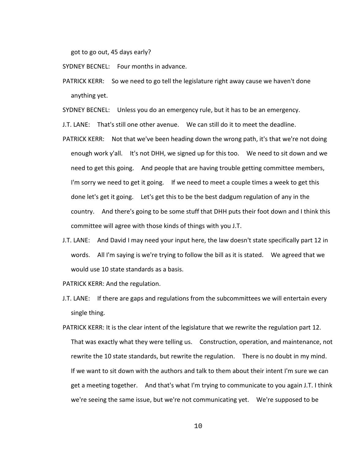got to go out, 45 days early?

SYDNEY BECNEL: Four months in advance.

PATRICK KERR: So we need to go tell the legislature right away cause we haven't done anything yet.

SYDNEY BECNEL: Unless you do an emergency rule, but it has to be an emergency.

J.T. LANE: That's still one other avenue. We can still do it to meet the deadline.

- PATRICK KERR: Not that we've been heading down the wrong path, it's that we're not doing enough work y'all. It's not DHH, we signed up for this too. We need to sit down and we need to get this going. And people that are having trouble getting committee members, I'm sorry we need to get it going. If we need to meet a couple times a week to get this done let's get it going. Let's get this to be the best dadgum regulation of any in the country. And there's going to be some stuff that DHH puts their foot down and I think this committee will agree with those kinds of things with you J.T.
- J.T. LANE: And David I may need your input here, the law doesn't state specifically part 12 in words. All I'm saying is we're trying to follow the bill as it is stated. We agreed that we would use 10 state standards as a basis.

PATRICK KERR: And the regulation.

- J.T. LANE: If there are gaps and regulations from the subcommittees we will entertain every single thing.
- PATRICK KERR: It is the clear intent of the legislature that we rewrite the regulation part 12. That was exactly what they were telling us. Construction, operation, and maintenance, not rewrite the 10 state standards, but rewrite the regulation. There is no doubt in my mind. If we want to sit down with the authors and talk to them about their intent I'm sure we can get a meeting together. And that's what I'm trying to communicate to you again J.T. I think we're seeing the same issue, but we're not communicating yet. We're supposed to be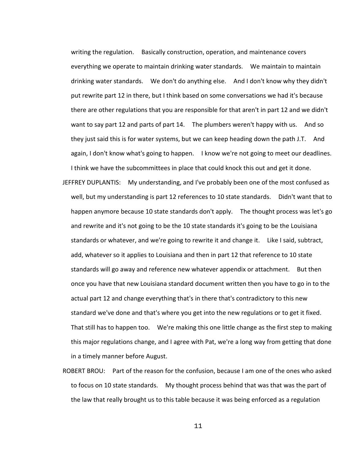writing the regulation. Basically construction, operation, and maintenance covers everything we operate to maintain drinking water standards. We maintain to maintain drinking water standards. We don't do anything else. And I don't know why they didn't put rewrite part 12 in there, but I think based on some conversations we had it's because there are other regulations that you are responsible for that aren't in part 12 and we didn't want to say part 12 and parts of part 14. The plumbers weren't happy with us. And so they just said this is for water systems, but we can keep heading down the path J.T. And again, I don't know what's going to happen. I know we're not going to meet our deadlines. I think we have the subcommittees in place that could knock this out and get it done.

- JEFFREY DUPLANTIS: My understanding, and I've probably been one of the most confused as well, but my understanding is part 12 references to 10 state standards. Didn't want that to happen anymore because 10 state standards don't apply. The thought process was let's go and rewrite and it's not going to be the 10 state standards it's going to be the Louisiana standards or whatever, and we're going to rewrite it and change it. Like I said, subtract, add, whatever so it applies to Louisiana and then in part 12 that reference to 10 state standards will go away and reference new whatever appendix or attachment. But then once you have that new Louisiana standard document written then you have to go in to the actual part 12 and change everything that's in there that's contradictory to this new standard we've done and that's where you get into the new regulations or to get it fixed. That still has to happen too. We're making this one little change as the first step to making this major regulations change, and I agree with Pat, we're a long way from getting that done in a timely manner before August.
- ROBERT BROU: Part of the reason for the confusion, because I am one of the ones who asked to focus on 10 state standards. My thought process behind that was that was the part of the law that really brought us to this table because it was being enforced as a regulation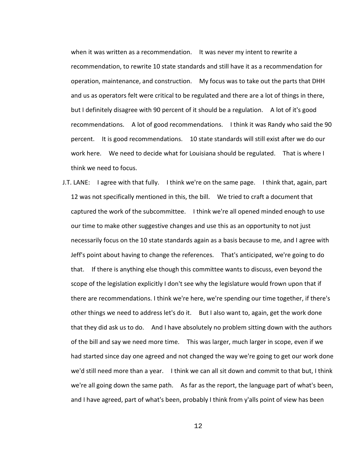when it was written as a recommendation. It was never my intent to rewrite a recommendation, to rewrite 10 state standards and still have it as a recommendation for operation, maintenance, and construction. My focus was to take out the parts that DHH and us as operators felt were critical to be regulated and there are a lot of things in there, but I definitely disagree with 90 percent of it should be a regulation. A lot of it's good recommendations. A lot of good recommendations. I think it was Randy who said the 90 percent. It is good recommendations. 10 state standards will still exist after we do our work here. We need to decide what for Louisiana should be regulated. That is where I think we need to focus.

J.T. LANE: I agree with that fully. I think we're on the same page. I think that, again, part 12 was not specifically mentioned in this, the bill. We tried to craft a document that captured the work of the subcommittee. I think we're all opened minded enough to use our time to make other suggestive changes and use this as an opportunity to not just necessarily focus on the 10 state standards again as a basis because to me, and I agree with Jeff's point about having to change the references. That's anticipated, we're going to do that. If there is anything else though this committee wants to discuss, even beyond the scope of the legislation explicitly I don't see why the legislature would frown upon that if there are recommendations. I think we're here, we're spending our time together, if there's other things we need to address let's do it. But I also want to, again, get the work done that they did ask us to do. And I have absolutely no problem sitting down with the authors of the bill and say we need more time. This was larger, much larger in scope, even if we had started since day one agreed and not changed the way we're going to get our work done we'd still need more than a year. I think we can all sit down and commit to that but, I think we're all going down the same path. As far as the report, the language part of what's been, and I have agreed, part of what's been, probably I think from y'alls point of view has been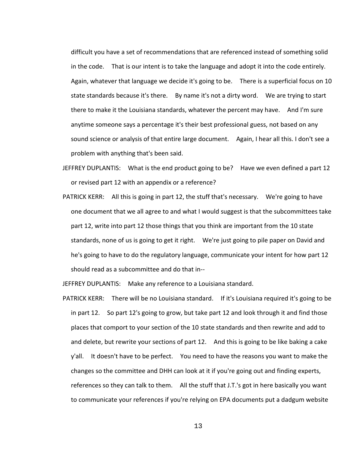difficult you have a set of recommendations that are referenced instead of something solid in the code. That is our intent is to take the language and adopt it into the code entirely. Again, whatever that language we decide it's going to be. There is a superficial focus on 10 state standards because it's there. By name it's not a dirty word. We are trying to start there to make it the Louisiana standards, whatever the percent may have. And I'm sure anytime someone says a percentage it's their best professional guess, not based on any sound science or analysis of that entire large document. Again, I hear all this. I don't see a problem with anything that's been said.

- JEFFREY DUPLANTIS: What is the end product going to be? Have we even defined a part 12 or revised part 12 with an appendix or a reference?
- PATRICK KERR: All this is going in part 12, the stuff that's necessary. We're going to have one document that we all agree to and what I would suggest is that the subcommittees take part 12, write into part 12 those things that you think are important from the 10 state standards, none of us is going to get it right. We're just going to pile paper on David and he's going to have to do the regulatory language, communicate your intent for how part 12 should read as a subcommittee and do that in--

JEFFREY DUPLANTIS: Make any reference to a Louisiana standard.

PATRICK KERR: There will be no Louisiana standard. If it's Louisiana required it's going to be in part 12. So part 12's going to grow, but take part 12 and look through it and find those places that comport to your section of the 10 state standards and then rewrite and add to and delete, but rewrite your sections of part 12. And this is going to be like baking a cake y'all. It doesn't have to be perfect. You need to have the reasons you want to make the changes so the committee and DHH can look at it if you're going out and finding experts, references so they can talk to them. All the stuff that J.T.'s got in here basically you want to communicate your references if you're relying on EPA documents put a dadgum website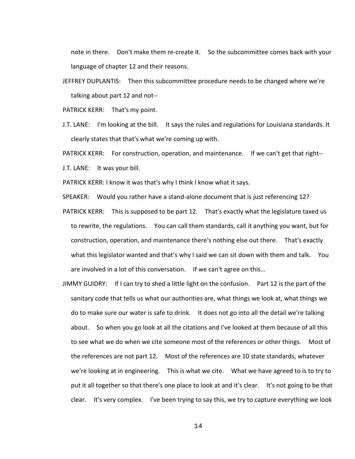note in there. Don't make them re-create it. So the subcommittee comes back with your language of chapter 12 and their reasons.

JEFFREY DUPLANTIS: Then this subcommittee procedure needs to be changed where we're talking about part 12 and not--

PATRICK KERR: That's my point.

J.T. LANE: I'm looking at the bill. It says the rules and regulations for Louisiana standards. It clearly states that that's what we're coming up with.

PATRICK KERR: For construction, operation, and maintenance. If we can't get that right--

J.T. LANE: It was your bill.

PATRICK KERR: I know it was that's why I think I know what it says.

SPEAKER: Would you rather have a stand-alone document that is just referencing 12?

- PATRICK KERR: This is supposed to be part 12. That's exactly what the legislature taxed us to rewrite, the regulations. You can call them standards, call it anything you want, but for construction, operation, and maintenance there's nothing else out there. That's exactly what this legislator wanted and that's why I said we can sit down with them and talk. You are involved in a lot of this conversation. If we can't agree on this…
- JIMMY GUIDRY: If I can try to shed a little light on the confusion. Part 12 is the part of the sanitary code that tells us what our authorities are, what things we look at, what things we do to make sure our water is safe to drink. It does not go into all the detail we're talking about. So when you go look at all the citations and I've looked at them because of all this to see what we do when we cite someone most of the references or other things. Most of the references are not part 12. Most of the references are 10 state standards, whatever we're looking at in engineering. This is what we cite. What we have agreed to is to try to put it all together so that there's one place to look at and it's clear. It's not going to be that clear. It's very complex. I've been trying to say this, we try to capture everything we look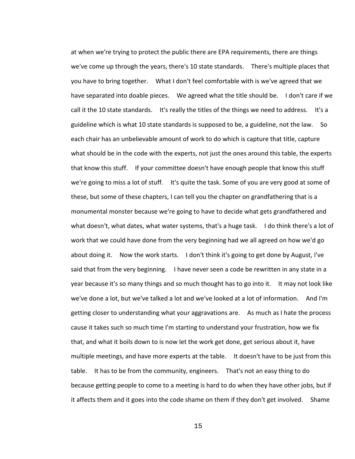at when we're trying to protect the public there are EPA requirements, there are things we've come up through the years, there's 10 state standards. There's multiple places that you have to bring together. What I don't feel comfortable with is we've agreed that we have separated into doable pieces. We agreed what the title should be. I don't care if we call it the 10 state standards. It's really the titles of the things we need to address. It's a guideline which is what 10 state standards is supposed to be, a guideline, not the law. So each chair has an unbelievable amount of work to do which is capture that title, capture what should be in the code with the experts, not just the ones around this table, the experts that know this stuff. If your committee doesn't have enough people that know this stuff we're going to miss a lot of stuff. It's quite the task. Some of you are very good at some of these, but some of these chapters, I can tell you the chapter on grandfathering that is a monumental monster because we're going to have to decide what gets grandfathered and what doesn't, what dates, what water systems, that's a huge task. I do think there's a lot of work that we could have done from the very beginning had we all agreed on how we'd go about doing it. Now the work starts. I don't think it's going to get done by August, I've said that from the very beginning. I have never seen a code be rewritten in any state in a year because it's so many things and so much thought has to go into it. It may not look like we've done a lot, but we've talked a lot and we've looked at a lot of information. And I'm getting closer to understanding what your aggravations are. As much as I hate the process cause it takes such so much time I'm starting to understand your frustration, how we fix that, and what it boils down to is now let the work get done, get serious about it, have multiple meetings, and have more experts at the table. It doesn't have to be just from this table. It has to be from the community, engineers. That's not an easy thing to do because getting people to come to a meeting is hard to do when they have other jobs, but if it affects them and it goes into the code shame on them if they don't get involved. Shame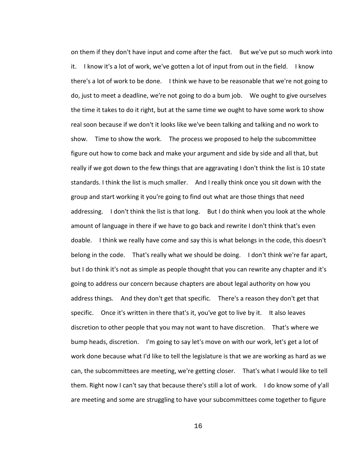on them if they don't have input and come after the fact. But we've put so much work into it. I know it's a lot of work, we've gotten a lot of input from out in the field. I know there's a lot of work to be done. I think we have to be reasonable that we're not going to do, just to meet a deadline, we're not going to do a bum job. We ought to give ourselves the time it takes to do it right, but at the same time we ought to have some work to show real soon because if we don't it looks like we've been talking and talking and no work to show. Time to show the work. The process we proposed to help the subcommittee figure out how to come back and make your argument and side by side and all that, but really if we got down to the few things that are aggravating I don't think the list is 10 state standards. I think the list is much smaller. And I really think once you sit down with the group and start working it you're going to find out what are those things that need addressing. I don't think the list is that long. But I do think when you look at the whole amount of language in there if we have to go back and rewrite I don't think that's even doable. I think we really have come and say this is what belongs in the code, this doesn't belong in the code. That's really what we should be doing. I don't think we're far apart, but I do think it's not as simple as people thought that you can rewrite any chapter and it's going to address our concern because chapters are about legal authority on how you address things. And they don't get that specific. There's a reason they don't get that specific. Once it's written in there that's it, you've got to live by it. It also leaves discretion to other people that you may not want to have discretion. That's where we bump heads, discretion. I'm going to say let's move on with our work, let's get a lot of work done because what I'd like to tell the legislature is that we are working as hard as we can, the subcommittees are meeting, we're getting closer. That's what I would like to tell them. Right now I can't say that because there's still a lot of work. I do know some of y'all are meeting and some are struggling to have your subcommittees come together to figure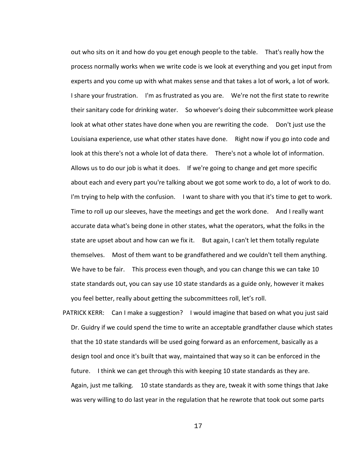out who sits on it and how do you get enough people to the table. That's really how the process normally works when we write code is we look at everything and you get input from experts and you come up with what makes sense and that takes a lot of work, a lot of work. I share your frustration. I'm as frustrated as you are. We're not the first state to rewrite their sanitary code for drinking water. So whoever's doing their subcommittee work please look at what other states have done when you are rewriting the code. Don't just use the Louisiana experience, use what other states have done. Right now if you go into code and look at this there's not a whole lot of data there. There's not a whole lot of information. Allows us to do our job is what it does. If we're going to change and get more specific about each and every part you're talking about we got some work to do, a lot of work to do. I'm trying to help with the confusion. I want to share with you that it's time to get to work. Time to roll up our sleeves, have the meetings and get the work done. And I really want accurate data what's being done in other states, what the operators, what the folks in the state are upset about and how can we fix it. But again, I can't let them totally regulate themselves. Most of them want to be grandfathered and we couldn't tell them anything. We have to be fair. This process even though, and you can change this we can take 10 state standards out, you can say use 10 state standards as a guide only, however it makes you feel better, really about getting the subcommittees roll, let's roll.

PATRICK KERR: Can I make a suggestion? I would imagine that based on what you just said Dr. Guidry if we could spend the time to write an acceptable grandfather clause which states that the 10 state standards will be used going forward as an enforcement, basically as a design tool and once it's built that way, maintained that way so it can be enforced in the future. I think we can get through this with keeping 10 state standards as they are. Again, just me talking. 10 state standards as they are, tweak it with some things that Jake was very willing to do last year in the regulation that he rewrote that took out some parts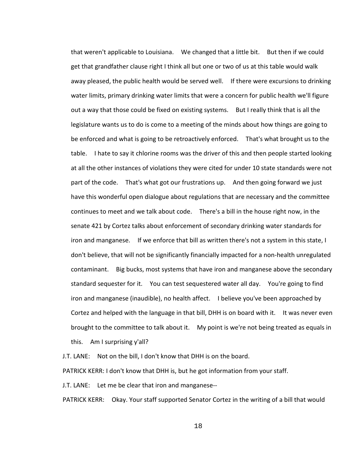that weren't applicable to Louisiana. We changed that a little bit. But then if we could get that grandfather clause right I think all but one or two of us at this table would walk away pleased, the public health would be served well. If there were excursions to drinking water limits, primary drinking water limits that were a concern for public health we'll figure out a way that those could be fixed on existing systems. But I really think that is all the legislature wants us to do is come to a meeting of the minds about how things are going to be enforced and what is going to be retroactively enforced. That's what brought us to the table. I hate to say it chlorine rooms was the driver of this and then people started looking at all the other instances of violations they were cited for under 10 state standards were not part of the code. That's what got our frustrations up. And then going forward we just have this wonderful open dialogue about regulations that are necessary and the committee continues to meet and we talk about code. There's a bill in the house right now, in the senate 421 by Cortez talks about enforcement of secondary drinking water standards for iron and manganese. If we enforce that bill as written there's not a system in this state, I don't believe, that will not be significantly financially impacted for a non-health unregulated contaminant. Big bucks, most systems that have iron and manganese above the secondary standard sequester for it. You can test sequestered water all day. You're going to find iron and manganese (inaudible), no health affect. I believe you've been approached by Cortez and helped with the language in that bill, DHH is on board with it. It was never even brought to the committee to talk about it. My point is we're not being treated as equals in this. Am I surprising y'all?

J.T. LANE: Not on the bill, I don't know that DHH is on the board.

PATRICK KERR: I don't know that DHH is, but he got information from your staff.

J.T. LANE: Let me be clear that iron and manganese--

PATRICK KERR: Okay. Your staff supported Senator Cortez in the writing of a bill that would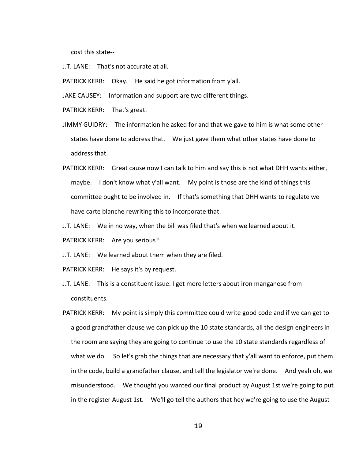cost this state--

- J.T. LANE: That's not accurate at all.
- PATRICK KERR: Okay. He said he got information from y'all.
- JAKE CAUSEY: Information and support are two different things.
- PATRICK KERR: That's great.
- JIMMY GUIDRY: The information he asked for and that we gave to him is what some other states have done to address that. We just gave them what other states have done to address that.
- PATRICK KERR: Great cause now I can talk to him and say this is not what DHH wants either, maybe. I don't know what y'all want. My point is those are the kind of things this committee ought to be involved in. If that's something that DHH wants to regulate we have carte blanche rewriting this to incorporate that.
- J.T. LANE: We in no way, when the bill was filed that's when we learned about it.
- PATRICK KERR: Are you serious?
- J.T. LANE: We learned about them when they are filed.
- PATRICK KERR: He says it's by request.
- J.T. LANE: This is a constituent issue. I get more letters about iron manganese from constituents.
- PATRICK KERR: My point is simply this committee could write good code and if we can get to a good grandfather clause we can pick up the 10 state standards, all the design engineers in the room are saying they are going to continue to use the 10 state standards regardless of what we do. So let's grab the things that are necessary that y'all want to enforce, put them in the code, build a grandfather clause, and tell the legislator we're done. And yeah oh, we misunderstood. We thought you wanted our final product by August 1st we're going to put in the register August 1st. We'll go tell the authors that hey we're going to use the August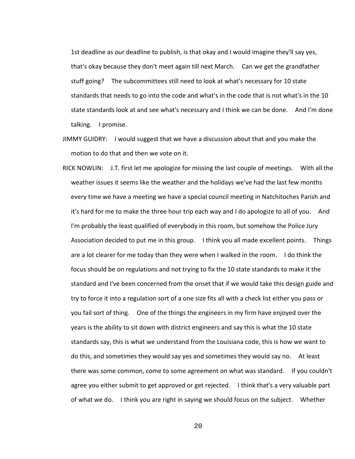1st deadline as our deadline to publish, is that okay and I would imagine they'll say yes, that's okay because they don't meet again till next March. Can we get the grandfather stuff going? The subcommittees still need to look at what's necessary for 10 state standards that needs to go into the code and what's in the code that is not what's in the 10 state standards look at and see what's necessary and I think we can be done. And I'm done talking. I promise.

- JIMMY GUIDRY: I would suggest that we have a discussion about that and you make the motion to do that and then we vote on it.
- RICK NOWLIN: J.T. first let me apologize for missing the last couple of meetings. With all the weather issues it seems like the weather and the holidays we've had the last few months every time we have a meeting we have a special council meeting in Natchitoches Parish and it's hard for me to make the three hour trip each way and I do apologize to all of you. And I'm probably the least qualified of everybody in this room, but somehow the Police Jury Association decided to put me in this group. I think you all made excellent points. Things are a lot clearer for me today than they were when I walked in the room. I do think the focus should be on regulations and not trying to fix the 10 state standards to make it the standard and I've been concerned from the onset that if we would take this design guide and try to force it into a regulation sort of a one size fits all with a check list either you pass or you fail sort of thing. One of the things the engineers in my firm have enjoyed over the years is the ability to sit down with district engineers and say this is what the 10 state standards say, this is what we understand from the Louisiana code, this is how we want to do this, and sometimes they would say yes and sometimes they would say no. At least there was some common, come to some agreement on what was standard. If you couldn't agree you either submit to get approved or get rejected. I think that's a very valuable part of what we do. I think you are right in saying we should focus on the subject. Whether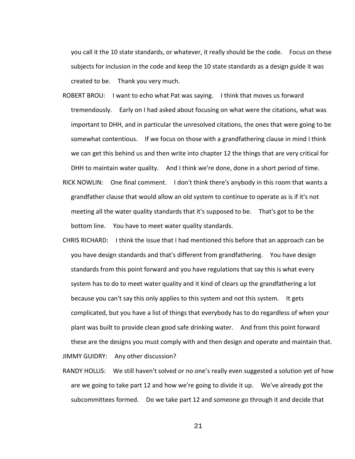you call it the 10 state standards, or whatever, it really should be the code. Focus on these subjects for inclusion in the code and keep the 10 state standards as a design guide it was created to be. Thank you very much.

- ROBERT BROU: I want to echo what Pat was saying. I think that moves us forward tremendously. Early on I had asked about focusing on what were the citations, what was important to DHH, and in particular the unresolved citations, the ones that were going to be somewhat contentious. If we focus on those with a grandfathering clause in mind I think we can get this behind us and then write into chapter 12 the things that are very critical for DHH to maintain water quality. And I think we're done, done in a short period of time.
- RICK NOWLIN: One final comment. I don't think there's anybody in this room that wants a grandfather clause that would allow an old system to continue to operate as is if it's not meeting all the water quality standards that it's supposed to be. That's got to be the bottom line. You have to meet water quality standards.
- CHRIS RICHARD: I think the issue that I had mentioned this before that an approach can be you have design standards and that's different from grandfathering. You have design standards from this point forward and you have regulations that say this is what every system has to do to meet water quality and it kind of clears up the grandfathering a lot because you can't say this only applies to this system and not this system. It gets complicated, but you have a list of things that everybody has to do regardless of when your plant was built to provide clean good safe drinking water. And from this point forward these are the designs you must comply with and then design and operate and maintain that. JIMMY GUIDRY: Any other discussion?
- RANDY HOLLIS: We still haven't solved or no one's really even suggested a solution yet of how are we going to take part 12 and how we're going to divide it up. We've already got the subcommittees formed. Do we take part 12 and someone go through it and decide that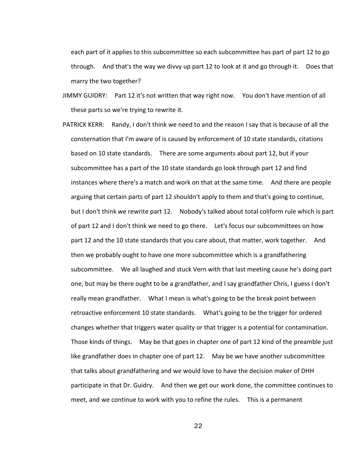each part of it applies to this subcommittee so each subcommittee has part of part 12 to go through. And that's the way we divvy up part 12 to look at it and go through it. Does that marry the two together?

- JIMMY GUIDRY: Part 12 it's not written that way right now. You don't have mention of all these parts so we're trying to rewrite it.
- PATRICK KERR: Randy, I don't think we need to and the reason I say that is because of all the consternation that I'm aware of is caused by enforcement of 10 state standards, citations based on 10 state standards. There are some arguments about part 12, but if your subcommittee has a part of the 10 state standards go look through part 12 and find instances where there's a match and work on that at the same time. And there are people arguing that certain parts of part 12 shouldn't apply to them and that's going to continue, but I don't think we rewrite part 12. Nobody's talked about total coliform rule which is part of part 12 and I don't think we need to go there. Let's focus our subcommittees on how part 12 and the 10 state standards that you care about, that matter, work together. And then we probably ought to have one more subcommittee which is a grandfathering subcommittee. We all laughed and stuck Vern with that last meeting cause he's doing part one, but may be there ought to be a grandfather, and I say grandfather Chris, I guess I don't really mean grandfather. What I mean is what's going to be the break point between retroactive enforcement 10 state standards. What's going to be the trigger for ordered changes whether that triggers water quality or that trigger is a potential for contamination. Those kinds of things. May be that goes in chapter one of part 12 kind of the preamble just like grandfather does in chapter one of part 12. May be we have another subcommittee that talks about grandfathering and we would love to have the decision maker of DHH participate in that Dr. Guidry. And then we get our work done, the committee continues to meet, and we continue to work with you to refine the rules. This is a permanent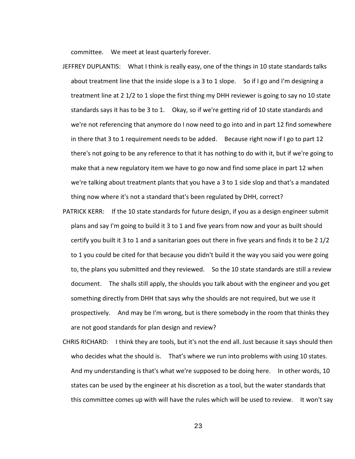committee. We meet at least quarterly forever.

- JEFFREY DUPLANTIS: What I think is really easy, one of the things in 10 state standards talks about treatment line that the inside slope is a 3 to 1 slope. So if I go and I'm designing a treatment line at 2 1/2 to 1 slope the first thing my DHH reviewer is going to say no 10 state standards says it has to be 3 to 1. Okay, so if we're getting rid of 10 state standards and we're not referencing that anymore do I now need to go into and in part 12 find somewhere in there that 3 to 1 requirement needs to be added. Because right now if I go to part 12 there's not going to be any reference to that it has nothing to do with it, but if we're going to make that a new regulatory item we have to go now and find some place in part 12 when we're talking about treatment plants that you have a 3 to 1 side slop and that's a mandated thing now where it's not a standard that's been regulated by DHH, correct?
- PATRICK KERR: If the 10 state standards for future design, if you as a design engineer submit plans and say I'm going to build it 3 to 1 and five years from now and your as built should certify you built it 3 to 1 and a sanitarian goes out there in five years and finds it to be 2 1/2 to 1 you could be cited for that because you didn't build it the way you said you were going to, the plans you submitted and they reviewed. So the 10 state standards are still a review document. The shalls still apply, the shoulds you talk about with the engineer and you get something directly from DHH that says why the shoulds are not required, but we use it prospectively. And may be I'm wrong, but is there somebody in the room that thinks they are not good standards for plan design and review?
- CHRIS RICHARD: I think they are tools, but it's not the end all. Just because it says should then who decides what the should is. That's where we run into problems with using 10 states. And my understanding is that's what we're supposed to be doing here. In other words, 10 states can be used by the engineer at his discretion as a tool, but the water standards that this committee comes up with will have the rules which will be used to review. It won't say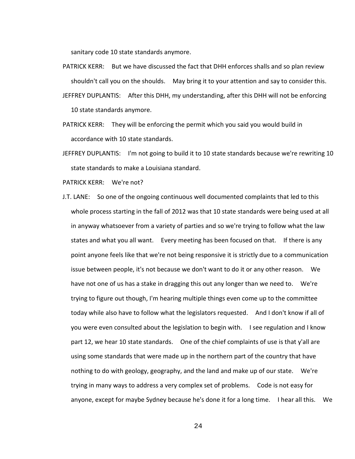sanitary code 10 state standards anymore.

PATRICK KERR: But we have discussed the fact that DHH enforces shalls and so plan review shouldn't call you on the shoulds. May bring it to your attention and say to consider this. JEFFREY DUPLANTIS: After this DHH, my understanding, after this DHH will not be enforcing

10 state standards anymore.

- PATRICK KERR: They will be enforcing the permit which you said you would build in accordance with 10 state standards.
- JEFFREY DUPLANTIS: I'm not going to build it to 10 state standards because we're rewriting 10 state standards to make a Louisiana standard.

PATRICK KERR: We're not?

J.T. LANE: So one of the ongoing continuous well documented complaints that led to this whole process starting in the fall of 2012 was that 10 state standards were being used at all in anyway whatsoever from a variety of parties and so we're trying to follow what the law states and what you all want. Every meeting has been focused on that. If there is any point anyone feels like that we're not being responsive it is strictly due to a communication issue between people, it's not because we don't want to do it or any other reason. We have not one of us has a stake in dragging this out any longer than we need to. We're trying to figure out though, I'm hearing multiple things even come up to the committee today while also have to follow what the legislators requested. And I don't know if all of you were even consulted about the legislation to begin with. I see regulation and I know part 12, we hear 10 state standards. One of the chief complaints of use is that y'all are using some standards that were made up in the northern part of the country that have nothing to do with geology, geography, and the land and make up of our state. We're trying in many ways to address a very complex set of problems. Code is not easy for anyone, except for maybe Sydney because he's done it for a long time. I hear all this. We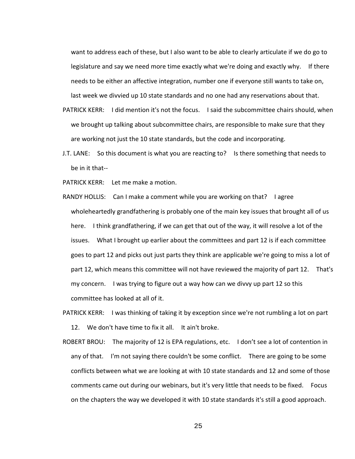want to address each of these, but I also want to be able to clearly articulate if we do go to legislature and say we need more time exactly what we're doing and exactly why. If there needs to be either an affective integration, number one if everyone still wants to take on, last week we divvied up 10 state standards and no one had any reservations about that.

- PATRICK KERR: I did mention it's not the focus. I said the subcommittee chairs should, when we brought up talking about subcommittee chairs, are responsible to make sure that they are working not just the 10 state standards, but the code and incorporating.
- J.T. LANE: So this document is what you are reacting to? Is there something that needs to be in it that--

PATRICK KERR: Let me make a motion.

- RANDY HOLLIS: Can I make a comment while you are working on that? I agree wholeheartedly grandfathering is probably one of the main key issues that brought all of us here. I think grandfathering, if we can get that out of the way, it will resolve a lot of the issues. What I brought up earlier about the committees and part 12 is if each committee goes to part 12 and picks out just parts they think are applicable we're going to miss a lot of part 12, which means this committee will not have reviewed the majority of part 12. That's my concern. I was trying to figure out a way how can we divvy up part 12 so this committee has looked at all of it.
- PATRICK KERR: I was thinking of taking it by exception since we're not rumbling a lot on part 12. We don't have time to fix it all. It ain't broke.
- ROBERT BROU: The majority of 12 is EPA regulations, etc. I don't see a lot of contention in any of that. I'm not saying there couldn't be some conflict. There are going to be some conflicts between what we are looking at with 10 state standards and 12 and some of those comments came out during our webinars, but it's very little that needs to be fixed. Focus on the chapters the way we developed it with 10 state standards it's still a good approach.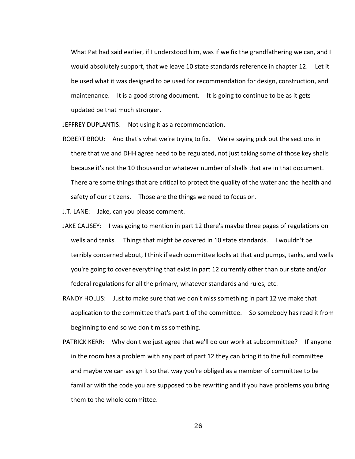What Pat had said earlier, if I understood him, was if we fix the grandfathering we can, and I would absolutely support, that we leave 10 state standards reference in chapter 12. Let it be used what it was designed to be used for recommendation for design, construction, and maintenance. It is a good strong document. It is going to continue to be as it gets updated be that much stronger.

JEFFREY DUPLANTIS: Not using it as a recommendation.

ROBERT BROU: And that's what we're trying to fix. We're saying pick out the sections in there that we and DHH agree need to be regulated, not just taking some of those key shalls because it's not the 10 thousand or whatever number of shalls that are in that document. There are some things that are critical to protect the quality of the water and the health and safety of our citizens. Those are the things we need to focus on.

J.T. LANE: Jake, can you please comment.

- JAKE CAUSEY: I was going to mention in part 12 there's maybe three pages of regulations on wells and tanks. Things that might be covered in 10 state standards. I wouldn't be terribly concerned about, I think if each committee looks at that and pumps, tanks, and wells you're going to cover everything that exist in part 12 currently other than our state and/or federal regulations for all the primary, whatever standards and rules, etc.
- RANDY HOLLIS: Just to make sure that we don't miss something in part 12 we make that application to the committee that's part 1 of the committee. So somebody has read it from beginning to end so we don't miss something.
- PATRICK KERR: Why don't we just agree that we'll do our work at subcommittee? If anyone in the room has a problem with any part of part 12 they can bring it to the full committee and maybe we can assign it so that way you're obliged as a member of committee to be familiar with the code you are supposed to be rewriting and if you have problems you bring them to the whole committee.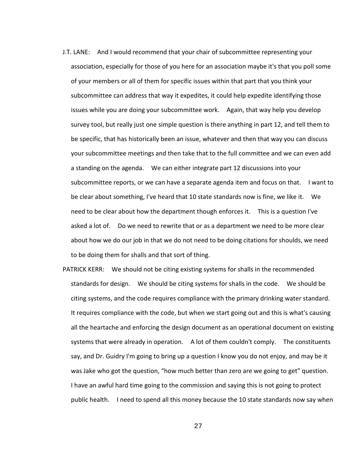- J.T. LANE: And I would recommend that your chair of subcommittee representing your association, especially for those of you here for an association maybe it's that you poll some of your members or all of them for specific issues within that part that you think your subcommittee can address that way it expedites, it could help expedite identifying those issues while you are doing your subcommittee work. Again, that way help you develop survey tool, but really just one simple question is there anything in part 12, and tell them to be specific, that has historically been an issue, whatever and then that way you can discuss your subcommittee meetings and then take that to the full committee and we can even add a standing on the agenda. We can either integrate part 12 discussions into your subcommittee reports, or we can have a separate agenda item and focus on that. I want to be clear about something, I've heard that 10 state standards now is fine, we like it. We need to be clear about how the department though enforces it. This is a question I've asked a lot of. Do we need to rewrite that or as a department we need to be more clear about how we do our job in that we do not need to be doing citations for shoulds, we need to be doing them for shalls and that sort of thing.
- PATRICK KERR: We should not be citing existing systems for shalls in the recommended standards for design. We should be citing systems for shalls in the code. We should be citing systems, and the code requires compliance with the primary drinking water standard. It requires compliance with the code, but when we start going out and this is what's causing all the heartache and enforcing the design document as an operational document on existing systems that were already in operation. A lot of them couldn't comply. The constituents say, and Dr. Guidry I'm going to bring up a question I know you do not enjoy, and may be it was Jake who got the question, "how much better than zero are we going to get" question. I have an awful hard time going to the commission and saying this is not going to protect public health. I need to spend all this money because the 10 state standards now say when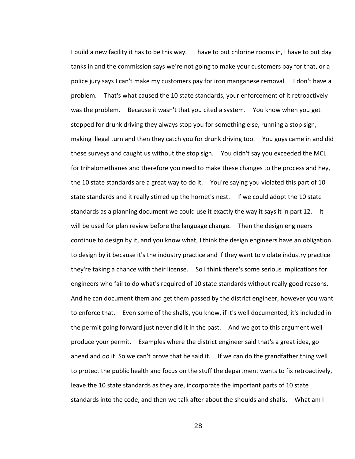I build a new facility it has to be this way. I have to put chlorine rooms in, I have to put day tanks in and the commission says we're not going to make your customers pay for that, or a police jury says I can't make my customers pay for iron manganese removal. I don't have a problem. That's what caused the 10 state standards, your enforcement of it retroactively was the problem. Because it wasn't that you cited a system. You know when you get stopped for drunk driving they always stop you for something else, running a stop sign, making illegal turn and then they catch you for drunk driving too. You guys came in and did these surveys and caught us without the stop sign. You didn't say you exceeded the MCL for trihalomethanes and therefore you need to make these changes to the process and hey, the 10 state standards are a great way to do it. You're saying you violated this part of 10 state standards and it really stirred up the hornet's nest. If we could adopt the 10 state standards as a planning document we could use it exactly the way it says it in part 12. It will be used for plan review before the language change. Then the design engineers continue to design by it, and you know what, I think the design engineers have an obligation to design by it because it's the industry practice and if they want to violate industry practice they're taking a chance with their license. So I think there's some serious implications for engineers who fail to do what's required of 10 state standards without really good reasons. And he can document them and get them passed by the district engineer, however you want to enforce that. Even some of the shalls, you know, if it's well documented, it's included in the permit going forward just never did it in the past. And we got to this argument well produce your permit. Examples where the district engineer said that's a great idea, go ahead and do it. So we can't prove that he said it. If we can do the grandfather thing well to protect the public health and focus on the stuff the department wants to fix retroactively, leave the 10 state standards as they are, incorporate the important parts of 10 state standards into the code, and then we talk after about the shoulds and shalls. What am I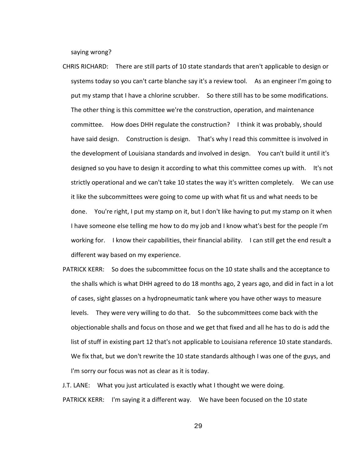saying wrong?

- CHRIS RICHARD: There are still parts of 10 state standards that aren't applicable to design or systems today so you can't carte blanche say it's a review tool. As an engineer I'm going to put my stamp that I have a chlorine scrubber. So there still has to be some modifications. The other thing is this committee we're the construction, operation, and maintenance committee. How does DHH regulate the construction? I think it was probably, should have said design. Construction is design. That's why I read this committee is involved in the development of Louisiana standards and involved in design. You can't build it until it's designed so you have to design it according to what this committee comes up with. It's not strictly operational and we can't take 10 states the way it's written completely. We can use it like the subcommittees were going to come up with what fit us and what needs to be done. You're right, I put my stamp on it, but I don't like having to put my stamp on it when I have someone else telling me how to do my job and I know what's best for the people I'm working for. I know their capabilities, their financial ability. I can still get the end result a different way based on my experience.
- PATRICK KERR: So does the subcommittee focus on the 10 state shalls and the acceptance to the shalls which is what DHH agreed to do 18 months ago, 2 years ago, and did in fact in a lot of cases, sight glasses on a hydropneumatic tank where you have other ways to measure levels. They were very willing to do that. So the subcommittees come back with the objectionable shalls and focus on those and we get that fixed and all he has to do is add the list of stuff in existing part 12 that's not applicable to Louisiana reference 10 state standards. We fix that, but we don't rewrite the 10 state standards although I was one of the guys, and I'm sorry our focus was not as clear as it is today.

J.T. LANE: What you just articulated is exactly what I thought we were doing. PATRICK KERR: I'm saying it a different way. We have been focused on the 10 state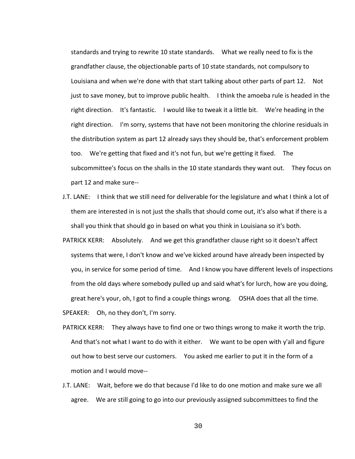standards and trying to rewrite 10 state standards. What we really need to fix is the grandfather clause, the objectionable parts of 10 state standards, not compulsory to Louisiana and when we're done with that start talking about other parts of part 12. Not just to save money, but to improve public health. I think the amoeba rule is headed in the right direction. It's fantastic. I would like to tweak it a little bit. We're heading in the right direction. I'm sorry, systems that have not been monitoring the chlorine residuals in the distribution system as part 12 already says they should be, that's enforcement problem too. We're getting that fixed and it's not fun, but we're getting it fixed. The subcommittee's focus on the shalls in the 10 state standards they want out. They focus on part 12 and make sure--

- J.T. LANE: I think that we still need for deliverable for the legislature and what I think a lot of them are interested in is not just the shalls that should come out, it's also what if there is a shall you think that should go in based on what you think in Louisiana so it's both.
- PATRICK KERR: Absolutely. And we get this grandfather clause right so it doesn't affect systems that were, I don't know and we've kicked around have already been inspected by you, in service for some period of time. And I know you have different levels of inspections from the old days where somebody pulled up and said what's for lurch, how are you doing, great here's your, oh, I got to find a couple things wrong. OSHA does that all the time.
- SPEAKER: Oh, no they don't, I'm sorry.
- PATRICK KERR: They always have to find one or two things wrong to make it worth the trip. And that's not what I want to do with it either. We want to be open with y'all and figure out how to best serve our customers. You asked me earlier to put it in the form of a motion and I would move--
- J.T. LANE: Wait, before we do that because I'd like to do one motion and make sure we all agree. We are still going to go into our previously assigned subcommittees to find the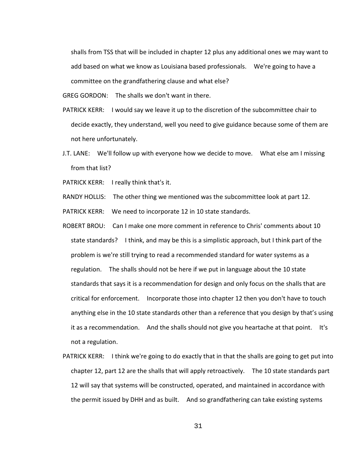shalls from TSS that will be included in chapter 12 plus any additional ones we may want to add based on what we know as Louisiana based professionals. We're going to have a committee on the grandfathering clause and what else?

GREG GORDON: The shalls we don't want in there.

- PATRICK KERR: I would say we leave it up to the discretion of the subcommittee chair to decide exactly, they understand, well you need to give guidance because some of them are not here unfortunately.
- J.T. LANE: We'll follow up with everyone how we decide to move. What else am I missing from that list?

PATRICK KERR: I really think that's it.

RANDY HOLLIS: The other thing we mentioned was the subcommittee look at part 12.

PATRICK KERR: We need to incorporate 12 in 10 state standards.

- ROBERT BROU: Can I make one more comment in reference to Chris' comments about 10 state standards? I think, and may be this is a simplistic approach, but I think part of the problem is we're still trying to read a recommended standard for water systems as a regulation. The shalls should not be here if we put in language about the 10 state standards that says it is a recommendation for design and only focus on the shalls that are critical for enforcement. Incorporate those into chapter 12 then you don't have to touch anything else in the 10 state standards other than a reference that you design by that's using it as a recommendation. And the shalls should not give you heartache at that point. It's not a regulation.
- PATRICK KERR: I think we're going to do exactly that in that the shalls are going to get put into chapter 12, part 12 are the shalls that will apply retroactively. The 10 state standards part 12 will say that systems will be constructed, operated, and maintained in accordance with the permit issued by DHH and as built. And so grandfathering can take existing systems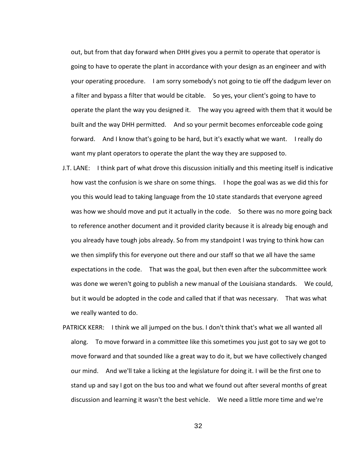out, but from that day forward when DHH gives you a permit to operate that operator is going to have to operate the plant in accordance with your design as an engineer and with your operating procedure. I am sorry somebody's not going to tie off the dadgum lever on a filter and bypass a filter that would be citable. So yes, your client's going to have to operate the plant the way you designed it. The way you agreed with them that it would be built and the way DHH permitted. And so your permit becomes enforceable code going forward. And I know that's going to be hard, but it's exactly what we want. I really do want my plant operators to operate the plant the way they are supposed to.

- J.T. LANE: I think part of what drove this discussion initially and this meeting itself is indicative how vast the confusion is we share on some things. I hope the goal was as we did this for you this would lead to taking language from the 10 state standards that everyone agreed was how we should move and put it actually in the code. So there was no more going back to reference another document and it provided clarity because it is already big enough and you already have tough jobs already. So from my standpoint I was trying to think how can we then simplify this for everyone out there and our staff so that we all have the same expectations in the code. That was the goal, but then even after the subcommittee work was done we weren't going to publish a new manual of the Louisiana standards. We could, but it would be adopted in the code and called that if that was necessary. That was what we really wanted to do.
- PATRICK KERR: I think we all jumped on the bus. I don't think that's what we all wanted all along. To move forward in a committee like this sometimes you just got to say we got to move forward and that sounded like a great way to do it, but we have collectively changed our mind. And we'll take a licking at the legislature for doing it. I will be the first one to stand up and say I got on the bus too and what we found out after several months of great discussion and learning it wasn't the best vehicle. We need a little more time and we're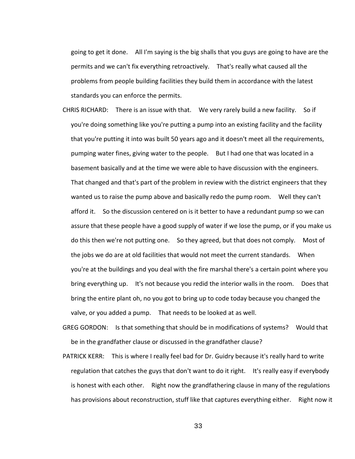going to get it done. All I'm saying is the big shalls that you guys are going to have are the permits and we can't fix everything retroactively. That's really what caused all the problems from people building facilities they build them in accordance with the latest standards you can enforce the permits.

- CHRIS RICHARD: There is an issue with that. We very rarely build a new facility. So if you're doing something like you're putting a pump into an existing facility and the facility that you're putting it into was built 50 years ago and it doesn't meet all the requirements, pumping water fines, giving water to the people. But I had one that was located in a basement basically and at the time we were able to have discussion with the engineers. That changed and that's part of the problem in review with the district engineers that they wanted us to raise the pump above and basically redo the pump room. Well they can't afford it. So the discussion centered on is it better to have a redundant pump so we can assure that these people have a good supply of water if we lose the pump, or if you make us do this then we're not putting one. So they agreed, but that does not comply. Most of the jobs we do are at old facilities that would not meet the current standards. When you're at the buildings and you deal with the fire marshal there's a certain point where you bring everything up. It's not because you redid the interior walls in the room. Does that bring the entire plant oh, no you got to bring up to code today because you changed the valve, or you added a pump. That needs to be looked at as well.
- GREG GORDON: Is that something that should be in modifications of systems? Would that be in the grandfather clause or discussed in the grandfather clause?
- PATRICK KERR: This is where I really feel bad for Dr. Guidry because it's really hard to write regulation that catches the guys that don't want to do it right. It's really easy if everybody is honest with each other. Right now the grandfathering clause in many of the regulations has provisions about reconstruction, stuff like that captures everything either. Right now it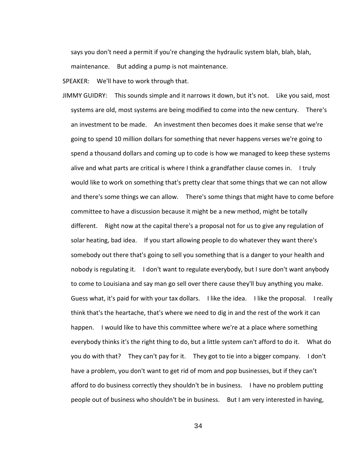says you don't need a permit if you're changing the hydraulic system blah, blah, blah, maintenance. But adding a pump is not maintenance.

SPEAKER: We'll have to work through that.

JIMMY GUIDRY: This sounds simple and it narrows it down, but it's not. Like you said, most systems are old, most systems are being modified to come into the new century. There's an investment to be made. An investment then becomes does it make sense that we're going to spend 10 million dollars for something that never happens verses we're going to spend a thousand dollars and coming up to code is how we managed to keep these systems alive and what parts are critical is where I think a grandfather clause comes in. I truly would like to work on something that's pretty clear that some things that we can not allow and there's some things we can allow. There's some things that might have to come before committee to have a discussion because it might be a new method, might be totally different. Right now at the capital there's a proposal not for us to give any regulation of solar heating, bad idea. If you start allowing people to do whatever they want there's somebody out there that's going to sell you something that is a danger to your health and nobody is regulating it. I don't want to regulate everybody, but I sure don't want anybody to come to Louisiana and say man go sell over there cause they'll buy anything you make. Guess what, it's paid for with your tax dollars. I like the idea. I like the proposal. I really think that's the heartache, that's where we need to dig in and the rest of the work it can happen. I would like to have this committee where we're at a place where something everybody thinks it's the right thing to do, but a little system can't afford to do it. What do you do with that? They can't pay for it. They got to tie into a bigger company. I don't have a problem, you don't want to get rid of mom and pop businesses, but if they can't afford to do business correctly they shouldn't be in business. I have no problem putting people out of business who shouldn't be in business. But I am very interested in having,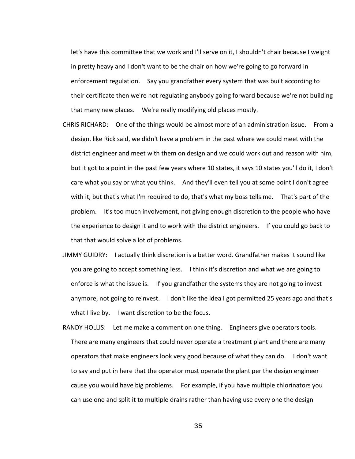let's have this committee that we work and I'll serve on it, I shouldn't chair because I weight in pretty heavy and I don't want to be the chair on how we're going to go forward in enforcement regulation. Say you grandfather every system that was built according to their certificate then we're not regulating anybody going forward because we're not building that many new places. We're really modifying old places mostly.

- CHRIS RICHARD: One of the things would be almost more of an administration issue. From a design, like Rick said, we didn't have a problem in the past where we could meet with the district engineer and meet with them on design and we could work out and reason with him, but it got to a point in the past few years where 10 states, it says 10 states you'll do it, I don't care what you say or what you think. And they'll even tell you at some point I don't agree with it, but that's what I'm required to do, that's what my boss tells me. That's part of the problem. It's too much involvement, not giving enough discretion to the people who have the experience to design it and to work with the district engineers. If you could go back to that that would solve a lot of problems.
- JIMMY GUIDRY: I actually think discretion is a better word. Grandfather makes it sound like you are going to accept something less. I think it's discretion and what we are going to enforce is what the issue is. If you grandfather the systems they are not going to invest anymore, not going to reinvest. I don't like the idea I got permitted 25 years ago and that's what I live by. I want discretion to be the focus.
- RANDY HOLLIS: Let me make a comment on one thing. Engineers give operators tools. There are many engineers that could never operate a treatment plant and there are many operators that make engineers look very good because of what they can do. I don't want to say and put in here that the operator must operate the plant per the design engineer cause you would have big problems. For example, if you have multiple chlorinators you can use one and split it to multiple drains rather than having use every one the design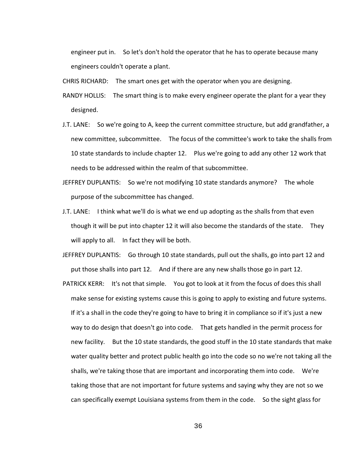engineer put in. So let's don't hold the operator that he has to operate because many engineers couldn't operate a plant.

CHRIS RICHARD: The smart ones get with the operator when you are designing.

RANDY HOLLIS: The smart thing is to make every engineer operate the plant for a year they designed.

- J.T. LANE: So we're going to A, keep the current committee structure, but add grandfather, a new committee, subcommittee. The focus of the committee's work to take the shalls from 10 state standards to include chapter 12. Plus we're going to add any other 12 work that needs to be addressed within the realm of that subcommittee.
- JEFFREY DUPLANTIS: So we're not modifying 10 state standards anymore? The whole purpose of the subcommittee has changed.
- J.T. LANE: I think what we'll do is what we end up adopting as the shalls from that even though it will be put into chapter 12 it will also become the standards of the state. They will apply to all. In fact they will be both.
- JEFFREY DUPLANTIS: Go through 10 state standards, pull out the shalls, go into part 12 and put those shalls into part 12. And if there are any new shalls those go in part 12.
- PATRICK KERR: It's not that simple. You got to look at it from the focus of does this shall make sense for existing systems cause this is going to apply to existing and future systems. If it's a shall in the code they're going to have to bring it in compliance so if it's just a new way to do design that doesn't go into code. That gets handled in the permit process for new facility. But the 10 state standards, the good stuff in the 10 state standards that make water quality better and protect public health go into the code so no we're not taking all the shalls, we're taking those that are important and incorporating them into code. We're taking those that are not important for future systems and saying why they are not so we can specifically exempt Louisiana systems from them in the code. So the sight glass for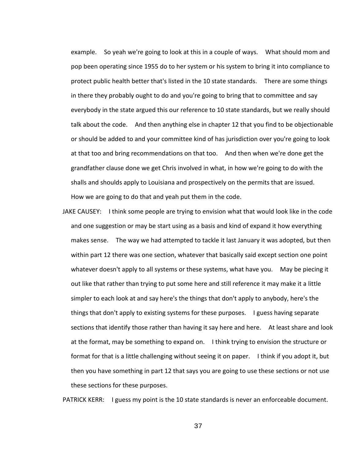example. So yeah we're going to look at this in a couple of ways. What should mom and pop been operating since 1955 do to her system or his system to bring it into compliance to protect public health better that's listed in the 10 state standards. There are some things in there they probably ought to do and you're going to bring that to committee and say everybody in the state argued this our reference to 10 state standards, but we really should talk about the code. And then anything else in chapter 12 that you find to be objectionable or should be added to and your committee kind of has jurisdiction over you're going to look at that too and bring recommendations on that too. And then when we're done get the grandfather clause done we get Chris involved in what, in how we're going to do with the shalls and shoulds apply to Louisiana and prospectively on the permits that are issued. How we are going to do that and yeah put them in the code.

JAKE CAUSEY: I think some people are trying to envision what that would look like in the code and one suggestion or may be start using as a basis and kind of expand it how everything makes sense. The way we had attempted to tackle it last January it was adopted, but then within part 12 there was one section, whatever that basically said except section one point whatever doesn't apply to all systems or these systems, what have you. May be piecing it out like that rather than trying to put some here and still reference it may make it a little simpler to each look at and say here's the things that don't apply to anybody, here's the things that don't apply to existing systems for these purposes. I guess having separate sections that identify those rather than having it say here and here. At least share and look at the format, may be something to expand on. I think trying to envision the structure or format for that is a little challenging without seeing it on paper. I think if you adopt it, but then you have something in part 12 that says you are going to use these sections or not use these sections for these purposes.

PATRICK KERR: I guess my point is the 10 state standards is never an enforceable document.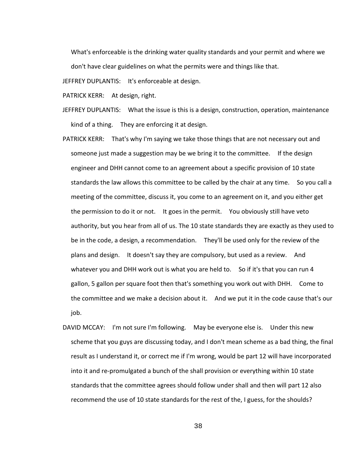What's enforceable is the drinking water quality standards and your permit and where we don't have clear guidelines on what the permits were and things like that.

JEFFREY DUPLANTIS: It's enforceable at design.

PATRICK KERR: At design, right.

- JEFFREY DUPLANTIS: What the issue is this is a design, construction, operation, maintenance kind of a thing. They are enforcing it at design.
- PATRICK KERR: That's why I'm saying we take those things that are not necessary out and someone just made a suggestion may be we bring it to the committee. If the design engineer and DHH cannot come to an agreement about a specific provision of 10 state standards the law allows this committee to be called by the chair at any time. So you call a meeting of the committee, discuss it, you come to an agreement on it, and you either get the permission to do it or not. It goes in the permit. You obviously still have veto authority, but you hear from all of us. The 10 state standards they are exactly as they used to be in the code, a design, a recommendation. They'll be used only for the review of the plans and design. It doesn't say they are compulsory, but used as a review. And whatever you and DHH work out is what you are held to. So if it's that you can run 4 gallon, 5 gallon per square foot then that's something you work out with DHH. Come to the committee and we make a decision about it. And we put it in the code cause that's our job.
- DAVID MCCAY: I'm not sure I'm following. May be everyone else is. Under this new scheme that you guys are discussing today, and I don't mean scheme as a bad thing, the final result as I understand it, or correct me if I'm wrong, would be part 12 will have incorporated into it and re-promulgated a bunch of the shall provision or everything within 10 state standards that the committee agrees should follow under shall and then will part 12 also recommend the use of 10 state standards for the rest of the, I guess, for the shoulds?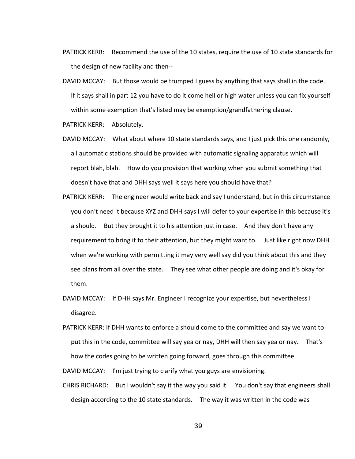- PATRICK KERR: Recommend the use of the 10 states, require the use of 10 state standards for the design of new facility and then--
- DAVID MCCAY: But those would be trumped I guess by anything that says shall in the code. If it says shall in part 12 you have to do it come hell or high water unless you can fix yourself within some exemption that's listed may be exemption/grandfathering clause.

PATRICK KERR: Absolutely.

- DAVID MCCAY: What about where 10 state standards says, and I just pick this one randomly, all automatic stations should be provided with automatic signaling apparatus which will report blah, blah. How do you provision that working when you submit something that doesn't have that and DHH says well it says here you should have that?
- PATRICK KERR: The engineer would write back and say I understand, but in this circumstance you don't need it because XYZ and DHH says I will defer to your expertise in this because it's a should. But they brought it to his attention just in case. And they don't have any requirement to bring it to their attention, but they might want to. Just like right now DHH when we're working with permitting it may very well say did you think about this and they see plans from all over the state. They see what other people are doing and it's okay for them.
- DAVID MCCAY: If DHH says Mr. Engineer I recognize your expertise, but nevertheless I disagree.
- PATRICK KERR: If DHH wants to enforce a should come to the committee and say we want to put this in the code, committee will say yea or nay, DHH will then say yea or nay. That's how the codes going to be written going forward, goes through this committee.

DAVID MCCAY: I'm just trying to clarify what you guys are envisioning.

CHRIS RICHARD: But I wouldn't say it the way you said it. You don't say that engineers shall design according to the 10 state standards. The way it was written in the code was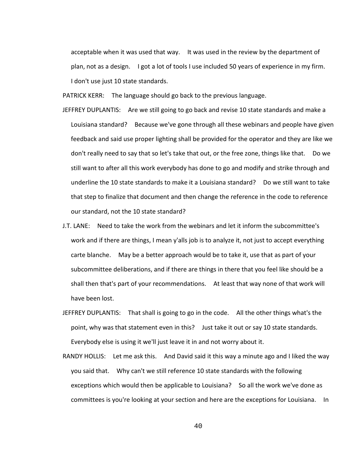acceptable when it was used that way. It was used in the review by the department of plan, not as a design. I got a lot of tools I use included 50 years of experience in my firm. I don't use just 10 state standards.

PATRICK KERR: The language should go back to the previous language.

- JEFFREY DUPLANTIS: Are we still going to go back and revise 10 state standards and make a Louisiana standard? Because we've gone through all these webinars and people have given feedback and said use proper lighting shall be provided for the operator and they are like we don't really need to say that so let's take that out, or the free zone, things like that. Do we still want to after all this work everybody has done to go and modify and strike through and underline the 10 state standards to make it a Louisiana standard? Do we still want to take that step to finalize that document and then change the reference in the code to reference our standard, not the 10 state standard?
- J.T. LANE: Need to take the work from the webinars and let it inform the subcommittee's work and if there are things, I mean y'alls job is to analyze it, not just to accept everything carte blanche. May be a better approach would be to take it, use that as part of your subcommittee deliberations, and if there are things in there that you feel like should be a shall then that's part of your recommendations. At least that way none of that work will have been lost.
- JEFFREY DUPLANTIS: That shall is going to go in the code. All the other things what's the point, why was that statement even in this? Just take it out or say 10 state standards. Everybody else is using it we'll just leave it in and not worry about it.
- RANDY HOLLIS: Let me ask this. And David said it this way a minute ago and I liked the way you said that. Why can't we still reference 10 state standards with the following exceptions which would then be applicable to Louisiana? So all the work we've done as committees is you're looking at your section and here are the exceptions for Louisiana. In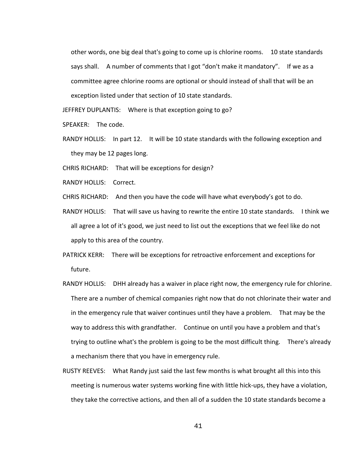other words, one big deal that's going to come up is chlorine rooms. 10 state standards says shall. A number of comments that I got "don't make it mandatory". If we as a committee agree chlorine rooms are optional or should instead of shall that will be an exception listed under that section of 10 state standards.

JEFFREY DUPLANTIS: Where is that exception going to go?

SPEAKER: The code.

RANDY HOLLIS: In part 12. It will be 10 state standards with the following exception and they may be 12 pages long.

CHRIS RICHARD: That will be exceptions for design?

RANDY HOLLIS: Correct.

CHRIS RICHARD: And then you have the code will have what everybody's got to do.

- RANDY HOLLIS: That will save us having to rewrite the entire 10 state standards. I think we all agree a lot of it's good, we just need to list out the exceptions that we feel like do not apply to this area of the country.
- PATRICK KERR: There will be exceptions for retroactive enforcement and exceptions for future.
- RANDY HOLLIS: DHH already has a waiver in place right now, the emergency rule for chlorine. There are a number of chemical companies right now that do not chlorinate their water and in the emergency rule that waiver continues until they have a problem. That may be the way to address this with grandfather. Continue on until you have a problem and that's trying to outline what's the problem is going to be the most difficult thing. There's already a mechanism there that you have in emergency rule.
- RUSTY REEVES: What Randy just said the last few months is what brought all this into this meeting is numerous water systems working fine with little hick-ups, they have a violation, they take the corrective actions, and then all of a sudden the 10 state standards become a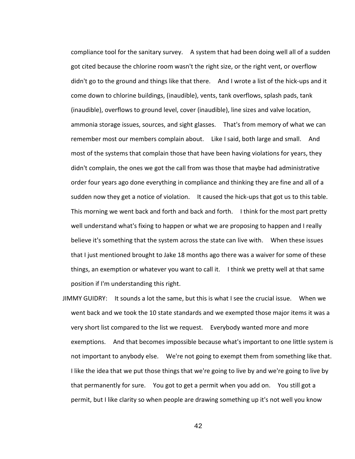compliance tool for the sanitary survey. A system that had been doing well all of a sudden got cited because the chlorine room wasn't the right size, or the right vent, or overflow didn't go to the ground and things like that there. And I wrote a list of the hick-ups and it come down to chlorine buildings, (inaudible), vents, tank overflows, splash pads, tank (inaudible), overflows to ground level, cover (inaudible), line sizes and valve location, ammonia storage issues, sources, and sight glasses. That's from memory of what we can remember most our members complain about. Like I said, both large and small. And most of the systems that complain those that have been having violations for years, they didn't complain, the ones we got the call from was those that maybe had administrative order four years ago done everything in compliance and thinking they are fine and all of a sudden now they get a notice of violation. It caused the hick-ups that got us to this table. This morning we went back and forth and back and forth. I think for the most part pretty well understand what's fixing to happen or what we are proposing to happen and I really believe it's something that the system across the state can live with. When these issues that I just mentioned brought to Jake 18 months ago there was a waiver for some of these things, an exemption or whatever you want to call it. I think we pretty well at that same position if I'm understanding this right.

JIMMY GUIDRY: It sounds a lot the same, but this is what I see the crucial issue. When we went back and we took the 10 state standards and we exempted those major items it was a very short list compared to the list we request. Everybody wanted more and more exemptions. And that becomes impossible because what's important to one little system is not important to anybody else. We're not going to exempt them from something like that. I like the idea that we put those things that we're going to live by and we're going to live by that permanently for sure. You got to get a permit when you add on. You still got a permit, but I like clarity so when people are drawing something up it's not well you know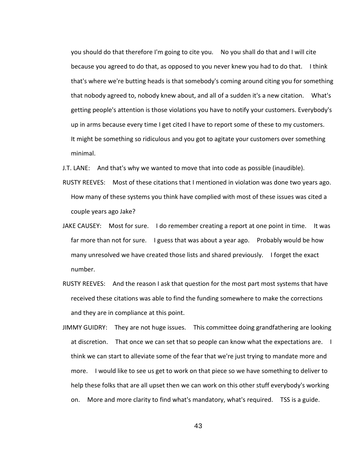you should do that therefore I'm going to cite you. No you shall do that and I will cite because you agreed to do that, as opposed to you never knew you had to do that. I think that's where we're butting heads is that somebody's coming around citing you for something that nobody agreed to, nobody knew about, and all of a sudden it's a new citation. What's getting people's attention is those violations you have to notify your customers. Everybody's up in arms because every time I get cited I have to report some of these to my customers. It might be something so ridiculous and you got to agitate your customers over something minimal.

J.T. LANE: And that's why we wanted to move that into code as possible (inaudible).

- RUSTY REEVES: Most of these citations that I mentioned in violation was done two years ago. How many of these systems you think have complied with most of these issues was cited a couple years ago Jake?
- JAKE CAUSEY: Most for sure. I do remember creating a report at one point in time. It was far more than not for sure. I guess that was about a year ago. Probably would be how many unresolved we have created those lists and shared previously. I forget the exact number.
- RUSTY REEVES: And the reason I ask that question for the most part most systems that have received these citations was able to find the funding somewhere to make the corrections and they are in compliance at this point.
- JIMMY GUIDRY: They are not huge issues. This committee doing grandfathering are looking at discretion. That once we can set that so people can know what the expectations are. I think we can start to alleviate some of the fear that we're just trying to mandate more and more. I would like to see us get to work on that piece so we have something to deliver to help these folks that are all upset then we can work on this other stuff everybody's working on. More and more clarity to find what's mandatory, what's required. TSS is a guide.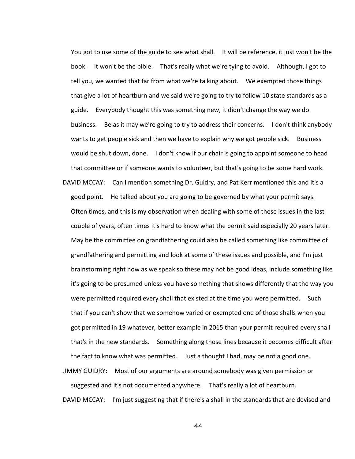You got to use some of the guide to see what shall. It will be reference, it just won't be the book. It won't be the bible. That's really what we're tying to avoid. Although, I got to tell you, we wanted that far from what we're talking about. We exempted those things that give a lot of heartburn and we said we're going to try to follow 10 state standards as a guide. Everybody thought this was something new, it didn't change the way we do business. Be as it may we're going to try to address their concerns. I don't think anybody wants to get people sick and then we have to explain why we got people sick. Business would be shut down, done. I don't know if our chair is going to appoint someone to head that committee or if someone wants to volunteer, but that's going to be some hard work.

DAVID MCCAY: Can I mention something Dr. Guidry, and Pat Kerr mentioned this and it's a good point. He talked about you are going to be governed by what your permit says. Often times, and this is my observation when dealing with some of these issues in the last couple of years, often times it's hard to know what the permit said especially 20 years later. May be the committee on grandfathering could also be called something like committee of grandfathering and permitting and look at some of these issues and possible, and I'm just brainstorming right now as we speak so these may not be good ideas, include something like it's going to be presumed unless you have something that shows differently that the way you were permitted required every shall that existed at the time you were permitted. Such that if you can't show that we somehow varied or exempted one of those shalls when you got permitted in 19 whatever, better example in 2015 than your permit required every shall that's in the new standards. Something along those lines because it becomes difficult after the fact to know what was permitted. Just a thought I had, may be not a good one. JIMMY GUIDRY: Most of our arguments are around somebody was given permission or

suggested and it's not documented anywhere. That's really a lot of heartburn. DAVID MCCAY: I'm just suggesting that if there's a shall in the standards that are devised and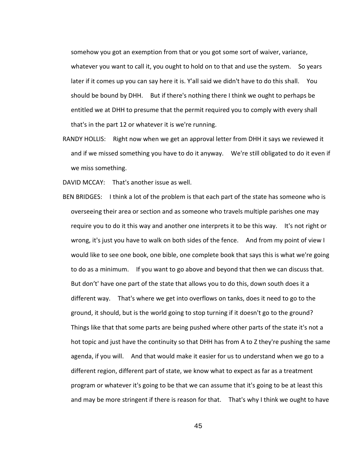somehow you got an exemption from that or you got some sort of waiver, variance, whatever you want to call it, you ought to hold on to that and use the system. So years later if it comes up you can say here it is. Y'all said we didn't have to do this shall. You should be bound by DHH. But if there's nothing there I think we ought to perhaps be entitled we at DHH to presume that the permit required you to comply with every shall that's in the part 12 or whatever it is we're running.

RANDY HOLLIS: Right now when we get an approval letter from DHH it says we reviewed it and if we missed something you have to do it anyway. We're still obligated to do it even if we miss something.

DAVID MCCAY: That's another issue as well.

BEN BRIDGES: I think a lot of the problem is that each part of the state has someone who is overseeing their area or section and as someone who travels multiple parishes one may require you to do it this way and another one interprets it to be this way. It's not right or wrong, it's just you have to walk on both sides of the fence. And from my point of view I would like to see one book, one bible, one complete book that says this is what we're going to do as a minimum. If you want to go above and beyond that then we can discuss that. But don't' have one part of the state that allows you to do this, down south does it a different way. That's where we get into overflows on tanks, does it need to go to the ground, it should, but is the world going to stop turning if it doesn't go to the ground? Things like that that some parts are being pushed where other parts of the state it's not a hot topic and just have the continuity so that DHH has from A to Z they're pushing the same agenda, if you will. And that would make it easier for us to understand when we go to a different region, different part of state, we know what to expect as far as a treatment program or whatever it's going to be that we can assume that it's going to be at least this and may be more stringent if there is reason for that. That's why I think we ought to have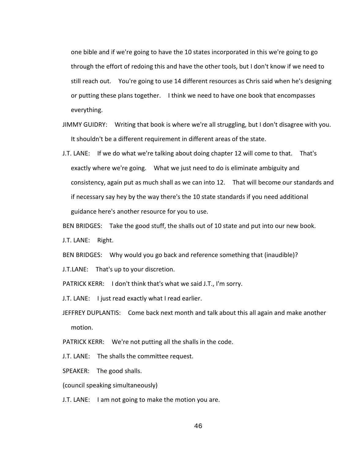one bible and if we're going to have the 10 states incorporated in this we're going to go through the effort of redoing this and have the other tools, but I don't know if we need to still reach out. You're going to use 14 different resources as Chris said when he's designing or putting these plans together. I think we need to have one book that encompasses everything.

- JIMMY GUIDRY: Writing that book is where we're all struggling, but I don't disagree with you. It shouldn't be a different requirement in different areas of the state.
- J.T. LANE: If we do what we're talking about doing chapter 12 will come to that. That's exactly where we're going. What we just need to do is eliminate ambiguity and consistency, again put as much shall as we can into 12. That will become our standards and if necessary say hey by the way there's the 10 state standards if you need additional guidance here's another resource for you to use.

BEN BRIDGES: Take the good stuff, the shalls out of 10 state and put into our new book.

J.T. LANE: Right.

BEN BRIDGES: Why would you go back and reference something that (inaudible)?

J.T.LANE: That's up to your discretion.

PATRICK KERR: I don't think that's what we said J.T., I'm sorry.

J.T. LANE: I just read exactly what I read earlier.

JEFFREY DUPLANTIS: Come back next month and talk about this all again and make another motion.

PATRICK KERR: We're not putting all the shalls in the code.

J.T. LANE: The shalls the committee request.

SPEAKER: The good shalls.

(council speaking simultaneously)

J.T. LANE: I am not going to make the motion you are.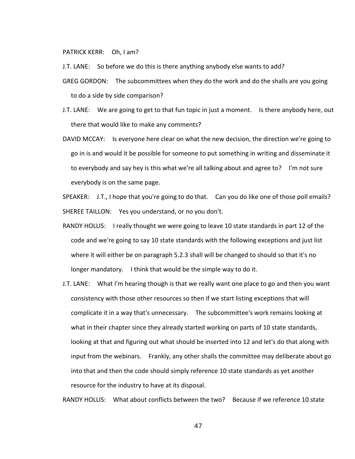PATRICK KERR: Oh, I am?

- J.T. LANE: So before we do this is there anything anybody else wants to add?
- GREG GORDON: The subcommittees when they do the work and do the shalls are you going to do a side by side comparison?
- J.T. LANE: We are going to get to that fun topic in just a moment. Is there anybody here, out there that would like to make any comments?
- DAVID MCCAY: Is everyone here clear on what the new decision, the direction we're going to go in is and would it be possible for someone to put something in writing and disseminate it to everybody and say hey is this what we're all talking about and agree to? I'm not sure everybody is on the same page.

SPEAKER: J.T., I hope that you're going to do that. Can you do like one of those poll emails? SHEREE TAILLON: Yes you understand, or no you don't.

- RANDY HOLLIS: I really thought we were going to leave 10 state standards in part 12 of the code and we're going to say 10 state standards with the following exceptions and just list where it will either be on paragraph 5.2.3 shall will be changed to should so that it's no longer mandatory. I think that would be the simple way to do it.
- J.T. LANE: What I'm hearing though is that we really want one place to go and then you want consistency with those other resources so then if we start listing exceptions that will complicate it in a way that's unnecessary. The subcommittee's work remains looking at what in their chapter since they already started working on parts of 10 state standards, looking at that and figuring out what should be inserted into 12 and let's do that along with input from the webinars. Frankly, any other shalls the committee may deliberate about go into that and then the code should simply reference 10 state standards as yet another resource for the industry to have at its disposal.

RANDY HOLLIS: What about conflicts between the two? Because if we reference 10 state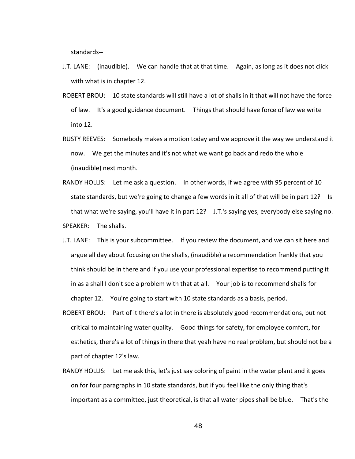standards--

- J.T. LANE: (inaudible). We can handle that at that time. Again, as long as it does not click with what is in chapter 12.
- ROBERT BROU: 10 state standards will still have a lot of shalls in it that will not have the force of law. It's a good guidance document. Things that should have force of law we write into 12.
- RUSTY REEVES: Somebody makes a motion today and we approve it the way we understand it now. We get the minutes and it's not what we want go back and redo the whole (inaudible) next month.
- RANDY HOLLIS: Let me ask a question. In other words, if we agree with 95 percent of 10 state standards, but we're going to change a few words in it all of that will be in part 12? Is that what we're saying, you'll have it in part 12? J.T.'s saying yes, everybody else saying no. SPEAKER: The shalls.
- J.T. LANE: This is your subcommittee. If you review the document, and we can sit here and argue all day about focusing on the shalls, (inaudible) a recommendation frankly that you think should be in there and if you use your professional expertise to recommend putting it in as a shall I don't see a problem with that at all. Your job is to recommend shalls for chapter 12. You're going to start with 10 state standards as a basis, period.
- ROBERT BROU: Part of it there's a lot in there is absolutely good recommendations, but not critical to maintaining water quality. Good things for safety, for employee comfort, for esthetics, there's a lot of things in there that yeah have no real problem, but should not be a part of chapter 12's law.
- RANDY HOLLIS: Let me ask this, let's just say coloring of paint in the water plant and it goes on for four paragraphs in 10 state standards, but if you feel like the only thing that's important as a committee, just theoretical, is that all water pipes shall be blue. That's the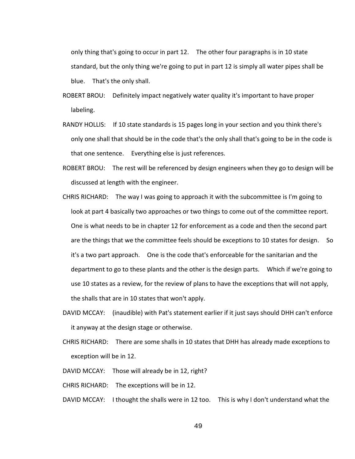only thing that's going to occur in part 12. The other four paragraphs is in 10 state standard, but the only thing we're going to put in part 12 is simply all water pipes shall be blue. That's the only shall.

- ROBERT BROU: Definitely impact negatively water quality it's important to have proper labeling.
- RANDY HOLLIS: If 10 state standards is 15 pages long in your section and you think there's only one shall that should be in the code that's the only shall that's going to be in the code is that one sentence. Everything else is just references.
- ROBERT BROU: The rest will be referenced by design engineers when they go to design will be discussed at length with the engineer.
- CHRIS RICHARD: The way I was going to approach it with the subcommittee is I'm going to look at part 4 basically two approaches or two things to come out of the committee report. One is what needs to be in chapter 12 for enforcement as a code and then the second part are the things that we the committee feels should be exceptions to 10 states for design. So it's a two part approach. One is the code that's enforceable for the sanitarian and the department to go to these plants and the other is the design parts. Which if we're going to use 10 states as a review, for the review of plans to have the exceptions that will not apply, the shalls that are in 10 states that won't apply.
- DAVID MCCAY: (inaudible) with Pat's statement earlier if it just says should DHH can't enforce it anyway at the design stage or otherwise.
- CHRIS RICHARD: There are some shalls in 10 states that DHH has already made exceptions to exception will be in 12.
- DAVID MCCAY: Those will already be in 12, right?
- CHRIS RICHARD: The exceptions will be in 12.
- DAVID MCCAY: I thought the shalls were in 12 too. This is why I don't understand what the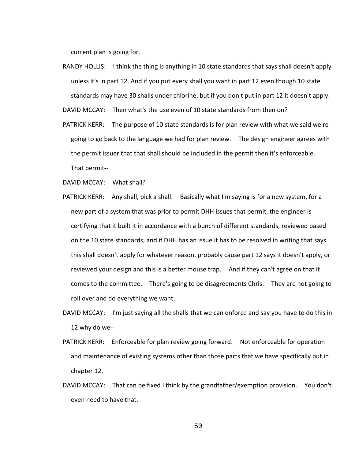current plan is going for.

RANDY HOLLIS: I think the thing is anything in 10 state standards that says shall doesn't apply unless it's in part 12. And if you put every shall you want in part 12 even though 10 state standards may have 30 shalls under chlorine, but if you don't put in part 12 it doesn't apply.

DAVID MCCAY: Then what's the use even of 10 state standards from then on?

PATRICK KERR: The purpose of 10 state standards is for plan review with what we said we're going to go back to the language we had for plan review. The design engineer agrees with the permit issuer that that shall should be included in the permit then it's enforceable. That permit--

DAVID MCCAY: What shall?

- PATRICK KERR: Any shall, pick a shall. Basically what I'm saying is for a new system, for a new part of a system that was prior to permit DHH issues that permit, the engineer is certifying that it built it in accordance with a bunch of different standards, reviewed based on the 10 state standards, and if DHH has an issue it has to be resolved in writing that says this shall doesn't apply for whatever reason, probably cause part 12 says it doesn't apply, or reviewed your design and this is a better mouse trap. And if they can't agree on that it comes to the committee. There's going to be disagreements Chris. They are not going to roll over and do everything we want.
- DAVID MCCAY: I'm just saying all the shalls that we can enforce and say you have to do this in 12 why do we--
- PATRICK KERR: Enforceable for plan review going forward. Not enforceable for operation and maintenance of existing systems other than those parts that we have specifically put in chapter 12.
- DAVID MCCAY: That can be fixed I think by the grandfather/exemption provision. You don't even need to have that.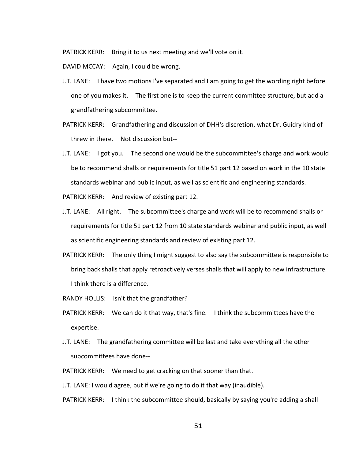PATRICK KERR: Bring it to us next meeting and we'll vote on it.

DAVID MCCAY: Again, I could be wrong.

- J.T. LANE: I have two motions I've separated and I am going to get the wording right before one of you makes it. The first one is to keep the current committee structure, but add a grandfathering subcommittee.
- PATRICK KERR: Grandfathering and discussion of DHH's discretion, what Dr. Guidry kind of threw in there. Not discussion but--
- J.T. LANE: I got you. The second one would be the subcommittee's charge and work would be to recommend shalls or requirements for title 51 part 12 based on work in the 10 state standards webinar and public input, as well as scientific and engineering standards.

PATRICK KERR: And review of existing part 12.

- J.T. LANE: All right. The subcommittee's charge and work will be to recommend shalls or requirements for title 51 part 12 from 10 state standards webinar and public input, as well as scientific engineering standards and review of existing part 12.
- PATRICK KERR: The only thing I might suggest to also say the subcommittee is responsible to bring back shalls that apply retroactively verses shalls that will apply to new infrastructure. I think there is a difference.
- RANDY HOLLIS: Isn't that the grandfather?
- PATRICK KERR: We can do it that way, that's fine. I think the subcommittees have the expertise.
- J.T. LANE: The grandfathering committee will be last and take everything all the other subcommittees have done--
- PATRICK KERR: We need to get cracking on that sooner than that.

J.T. LANE: I would agree, but if we're going to do it that way (inaudible).

PATRICK KERR: I think the subcommittee should, basically by saying you're adding a shall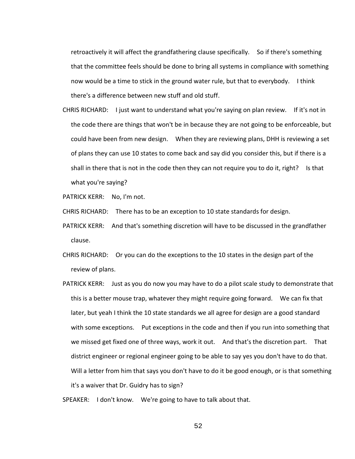retroactively it will affect the grandfathering clause specifically. So if there's something that the committee feels should be done to bring all systems in compliance with something now would be a time to stick in the ground water rule, but that to everybody. I think there's a difference between new stuff and old stuff.

CHRIS RICHARD: I just want to understand what you're saying on plan review. If it's not in the code there are things that won't be in because they are not going to be enforceable, but could have been from new design. When they are reviewing plans, DHH is reviewing a set of plans they can use 10 states to come back and say did you consider this, but if there is a shall in there that is not in the code then they can not require you to do it, right? Is that what you're saying?

PATRICK KERR: No, I'm not.

CHRIS RICHARD: There has to be an exception to 10 state standards for design.

- PATRICK KERR: And that's something discretion will have to be discussed in the grandfather clause.
- CHRIS RICHARD: Or you can do the exceptions to the 10 states in the design part of the review of plans.
- PATRICK KERR: Just as you do now you may have to do a pilot scale study to demonstrate that this is a better mouse trap, whatever they might require going forward. We can fix that later, but yeah I think the 10 state standards we all agree for design are a good standard with some exceptions. Put exceptions in the code and then if you run into something that we missed get fixed one of three ways, work it out. And that's the discretion part. That district engineer or regional engineer going to be able to say yes you don't have to do that. Will a letter from him that says you don't have to do it be good enough, or is that something it's a waiver that Dr. Guidry has to sign?

SPEAKER: I don't know. We're going to have to talk about that.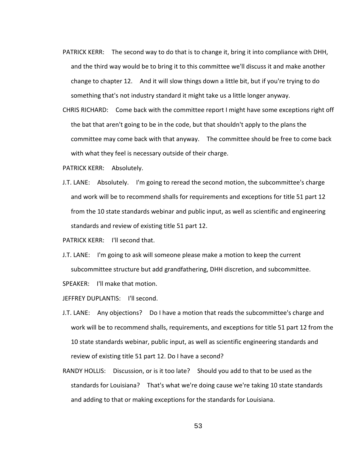- PATRICK KERR: The second way to do that is to change it, bring it into compliance with DHH, and the third way would be to bring it to this committee we'll discuss it and make another change to chapter 12. And it will slow things down a little bit, but if you're trying to do something that's not industry standard it might take us a little longer anyway.
- CHRIS RICHARD: Come back with the committee report I might have some exceptions right off the bat that aren't going to be in the code, but that shouldn't apply to the plans the committee may come back with that anyway. The committee should be free to come back with what they feel is necessary outside of their charge.
- PATRICK KERR: Absolutely.
- J.T. LANE: Absolutely. I'm going to reread the second motion, the subcommittee's charge and work will be to recommend shalls for requirements and exceptions for title 51 part 12 from the 10 state standards webinar and public input, as well as scientific and engineering standards and review of existing title 51 part 12.
- PATRICK KERR: I'll second that.
- J.T. LANE: I'm going to ask will someone please make a motion to keep the current subcommittee structure but add grandfathering, DHH discretion, and subcommittee.
- SPEAKER: I'll make that motion.
- JEFFREY DUPLANTIS: I'll second.
- J.T. LANE: Any objections? Do I have a motion that reads the subcommittee's charge and work will be to recommend shalls, requirements, and exceptions for title 51 part 12 from the 10 state standards webinar, public input, as well as scientific engineering standards and review of existing title 51 part 12. Do I have a second?
- RANDY HOLLIS: Discussion, or is it too late? Should you add to that to be used as the standards for Louisiana? That's what we're doing cause we're taking 10 state standards and adding to that or making exceptions for the standards for Louisiana.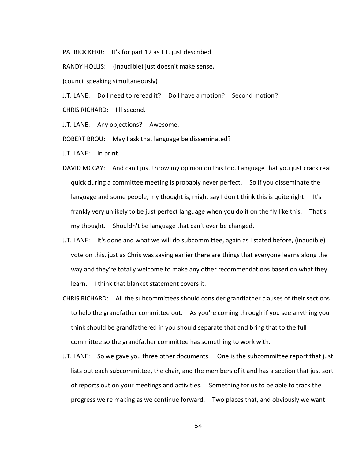PATRICK KERR: It's for part 12 as J.T. just described.

RANDY HOLLIS: (inaudible) just doesn't make sense**.**

(council speaking simultaneously)

J.T. LANE: Do I need to reread it? Do I have a motion? Second motion? CHRIS RICHARD: I'll second.

J.T. LANE: Any objections? Awesome.

ROBERT BROU: May I ask that language be disseminated?

J.T. LANE: In print.

- DAVID MCCAY: And can I just throw my opinion on this too. Language that you just crack real quick during a committee meeting is probably never perfect. So if you disseminate the language and some people, my thought is, might say I don't think this is quite right. It's frankly very unlikely to be just perfect language when you do it on the fly like this. That's my thought. Shouldn't be language that can't ever be changed.
- J.T. LANE: It's done and what we will do subcommittee, again as I stated before, (inaudible) vote on this, just as Chris was saying earlier there are things that everyone learns along the way and they're totally welcome to make any other recommendations based on what they learn. I think that blanket statement covers it.
- CHRIS RICHARD: All the subcommittees should consider grandfather clauses of their sections to help the grandfather committee out. As you're coming through if you see anything you think should be grandfathered in you should separate that and bring that to the full committee so the grandfather committee has something to work with.
- J.T. LANE: So we gave you three other documents. One is the subcommittee report that just lists out each subcommittee, the chair, and the members of it and has a section that just sort of reports out on your meetings and activities. Something for us to be able to track the progress we're making as we continue forward. Two places that, and obviously we want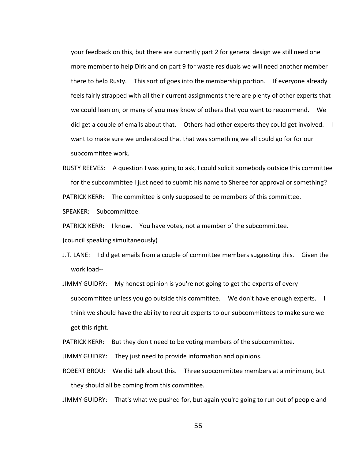your feedback on this, but there are currently part 2 for general design we still need one more member to help Dirk and on part 9 for waste residuals we will need another member there to help Rusty. This sort of goes into the membership portion. If everyone already feels fairly strapped with all their current assignments there are plenty of other experts that we could lean on, or many of you may know of others that you want to recommend. We did get a couple of emails about that. Others had other experts they could get involved. I want to make sure we understood that that was something we all could go for for our subcommittee work.

RUSTY REEVES: A question I was going to ask, I could solicit somebody outside this committee for the subcommittee I just need to submit his name to Sheree for approval or something? PATRICK KERR: The committee is only supposed to be members of this committee. SPEAKER: Subcommittee.

PATRICK KERR: I know. You have votes, not a member of the subcommittee.

(council speaking simultaneously)

- J.T. LANE: I did get emails from a couple of committee members suggesting this. Given the work load--
- JIMMY GUIDRY: My honest opinion is you're not going to get the experts of every subcommittee unless you go outside this committee. We don't have enough experts. I think we should have the ability to recruit experts to our subcommittees to make sure we get this right.

PATRICK KERR: But they don't need to be voting members of the subcommittee.

JIMMY GUIDRY: They just need to provide information and opinions.

ROBERT BROU: We did talk about this. Three subcommittee members at a minimum, but they should all be coming from this committee.

JIMMY GUIDRY: That's what we pushed for, but again you're going to run out of people and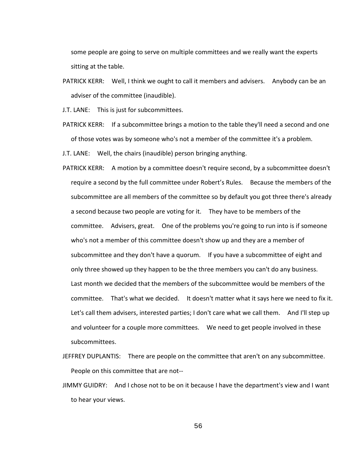some people are going to serve on multiple committees and we really want the experts sitting at the table.

- PATRICK KERR: Well, I think we ought to call it members and advisers. Anybody can be an adviser of the committee (inaudible).
- J.T. LANE: This is just for subcommittees.
- PATRICK KERR: If a subcommittee brings a motion to the table they'll need a second and one of those votes was by someone who's not a member of the committee it's a problem.
- J.T. LANE: Well, the chairs (inaudible) person bringing anything.
- PATRICK KERR: A motion by a committee doesn't require second, by a subcommittee doesn't require a second by the full committee under Robert's Rules. Because the members of the subcommittee are all members of the committee so by default you got three there's already a second because two people are voting for it. They have to be members of the committee. Advisers, great. One of the problems you're going to run into is if someone who's not a member of this committee doesn't show up and they are a member of subcommittee and they don't have a quorum. If you have a subcommittee of eight and only three showed up they happen to be the three members you can't do any business. Last month we decided that the members of the subcommittee would be members of the committee. That's what we decided. It doesn't matter what it says here we need to fix it. Let's call them advisers, interested parties; I don't care what we call them. And I'll step up and volunteer for a couple more committees. We need to get people involved in these subcommittees.
- JEFFREY DUPLANTIS: There are people on the committee that aren't on any subcommittee. People on this committee that are not--
- JIMMY GUIDRY: And I chose not to be on it because I have the department's view and I want to hear your views.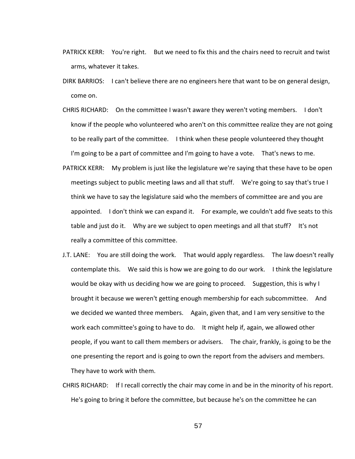- PATRICK KERR: You're right. But we need to fix this and the chairs need to recruit and twist arms, whatever it takes.
- DIRK BARRIOS: I can't believe there are no engineers here that want to be on general design, come on.
- CHRIS RICHARD: On the committee I wasn't aware they weren't voting members. I don't know if the people who volunteered who aren't on this committee realize they are not going to be really part of the committee. I think when these people volunteered they thought I'm going to be a part of committee and I'm going to have a vote. That's news to me.
- PATRICK KERR: My problem is just like the legislature we're saying that these have to be open meetings subject to public meeting laws and all that stuff. We're going to say that's true I think we have to say the legislature said who the members of committee are and you are appointed. I don't think we can expand it. For example, we couldn't add five seats to this table and just do it. Why are we subject to open meetings and all that stuff? It's not really a committee of this committee.
- J.T. LANE: You are still doing the work. That would apply regardless. The law doesn't really contemplate this. We said this is how we are going to do our work. I think the legislature would be okay with us deciding how we are going to proceed. Suggestion, this is why I brought it because we weren't getting enough membership for each subcommittee. And we decided we wanted three members. Again, given that, and I am very sensitive to the work each committee's going to have to do. It might help if, again, we allowed other people, if you want to call them members or advisers. The chair, frankly, is going to be the one presenting the report and is going to own the report from the advisers and members. They have to work with them.
- CHRIS RICHARD: If I recall correctly the chair may come in and be in the minority of his report. He's going to bring it before the committee, but because he's on the committee he can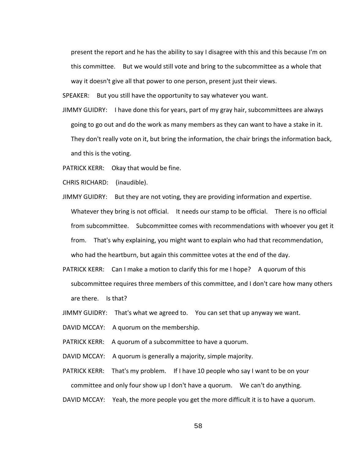present the report and he has the ability to say I disagree with this and this because I'm on this committee. But we would still vote and bring to the subcommittee as a whole that way it doesn't give all that power to one person, present just their views.

SPEAKER: But you still have the opportunity to say whatever you want.

JIMMY GUIDRY: I have done this for years, part of my gray hair, subcommittees are always going to go out and do the work as many members as they can want to have a stake in it. They don't really vote on it, but bring the information, the chair brings the information back, and this is the voting.

PATRICK KERR: Okay that would be fine.

CHRIS RICHARD: (inaudible).

- JIMMY GUIDRY: But they are not voting, they are providing information and expertise. Whatever they bring is not official. It needs our stamp to be official. There is no official from subcommittee. Subcommittee comes with recommendations with whoever you get it from. That's why explaining, you might want to explain who had that recommendation, who had the heartburn, but again this committee votes at the end of the day.
- PATRICK KERR: Can I make a motion to clarify this for me I hope? A quorum of this subcommittee requires three members of this committee, and I don't care how many others are there. Is that?
- JIMMY GUIDRY: That's what we agreed to. You can set that up anyway we want.
- DAVID MCCAY: A quorum on the membership.
- PATRICK KERR: A quorum of a subcommittee to have a quorum.
- DAVID MCCAY: A quorum is generally a majority, simple majority.
- PATRICK KERR: That's my problem. If I have 10 people who say I want to be on your committee and only four show up I don't have a quorum. We can't do anything.

DAVID MCCAY: Yeah, the more people you get the more difficult it is to have a quorum.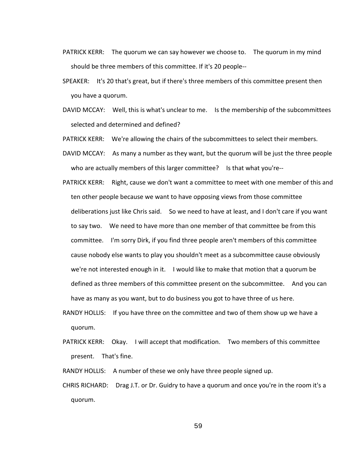- PATRICK KERR: The quorum we can say however we choose to. The quorum in my mind should be three members of this committee. If it's 20 people--
- SPEAKER: It's 20 that's great, but if there's three members of this committee present then you have a quorum.
- DAVID MCCAY: Well, this is what's unclear to me. Is the membership of the subcommittees selected and determined and defined?
- PATRICK KERR: We're allowing the chairs of the subcommittees to select their members.
- DAVID MCCAY: As many a number as they want, but the quorum will be just the three people who are actually members of this larger committee? Is that what you're--
- PATRICK KERR: Right, cause we don't want a committee to meet with one member of this and ten other people because we want to have opposing views from those committee deliberations just like Chris said. So we need to have at least, and I don't care if you want to say two. We need to have more than one member of that committee be from this committee. I'm sorry Dirk, if you find three people aren't members of this committee cause nobody else wants to play you shouldn't meet as a subcommittee cause obviously we're not interested enough in it. I would like to make that motion that a quorum be defined as three members of this committee present on the subcommittee. And you can have as many as you want, but to do business you got to have three of us here.
- RANDY HOLLIS: If you have three on the committee and two of them show up we have a quorum.
- PATRICK KERR: Okay. I will accept that modification. Two members of this committee present. That's fine.

RANDY HOLLIS: A number of these we only have three people signed up.

CHRIS RICHARD: Drag J.T. or Dr. Guidry to have a quorum and once you're in the room it's a quorum.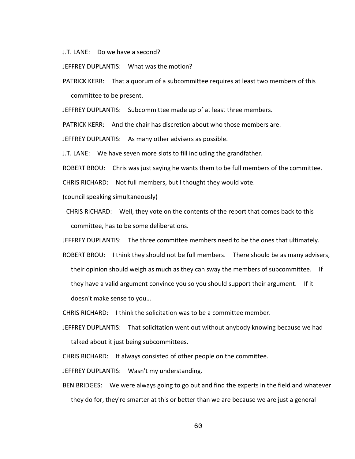J.T. LANE: Do we have a second?

JEFFREY DUPLANTIS: What was the motion?

PATRICK KERR: That a quorum of a subcommittee requires at least two members of this committee to be present.

JEFFREY DUPLANTIS: Subcommittee made up of at least three members.

PATRICK KERR: And the chair has discretion about who those members are.

JEFFREY DUPLANTIS: As many other advisers as possible.

J.T. LANE: We have seven more slots to fill including the grandfather.

ROBERT BROU: Chris was just saying he wants them to be full members of the committee.

CHRIS RICHARD: Not full members, but I thought they would vote.

(council speaking simultaneously)

CHRIS RICHARD: Well, they vote on the contents of the report that comes back to this committee, has to be some deliberations.

JEFFREY DUPLANTIS: The three committee members need to be the ones that ultimately.

ROBERT BROU: I think they should not be full members. There should be as many advisers, their opinion should weigh as much as they can sway the members of subcommittee. If they have a valid argument convince you so you should support their argument. If it doesn't make sense to you…

CHRIS RICHARD: I think the solicitation was to be a committee member.

JEFFREY DUPLANTIS: That solicitation went out without anybody knowing because we had talked about it just being subcommittees.

CHRIS RICHARD: It always consisted of other people on the committee.

JEFFREY DUPLANTIS: Wasn't my understanding.

BEN BRIDGES: We were always going to go out and find the experts in the field and whatever they do for, they're smarter at this or better than we are because we are just a general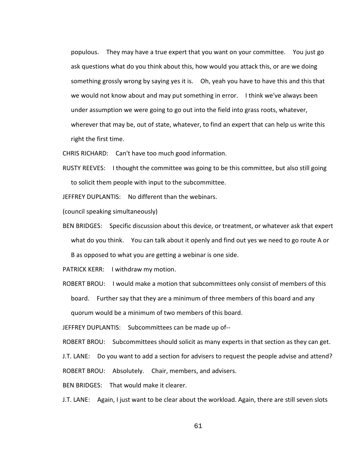populous. They may have a true expert that you want on your committee. You just go ask questions what do you think about this, how would you attack this, or are we doing something grossly wrong by saying yes it is. Oh, yeah you have to have this and this that we would not know about and may put something in error. I think we've always been under assumption we were going to go out into the field into grass roots, whatever, wherever that may be, out of state, whatever, to find an expert that can help us write this right the first time.

CHRIS RICHARD: Can't have too much good information.

RUSTY REEVES: I thought the committee was going to be this committee, but also still going to solicit them people with input to the subcommittee.

JEFFREY DUPLANTIS: No different than the webinars.

(council speaking simultaneously)

BEN BRIDGES: Specific discussion about this device, or treatment, or whatever ask that expert what do you think. You can talk about it openly and find out yes we need to go route A or B as opposed to what you are getting a webinar is one side.

PATRICK KERR: I withdraw my motion.

ROBERT BROU: I would make a motion that subcommittees only consist of members of this board. Further say that they are a minimum of three members of this board and any quorum would be a minimum of two members of this board.

JEFFREY DUPLANTIS: Subcommittees can be made up of--

ROBERT BROU: Subcommittees should solicit as many experts in that section as they can get.

J.T. LANE: Do you want to add a section for advisers to request the people advise and attend?

ROBERT BROU: Absolutely. Chair, members, and advisers.

BEN BRIDGES: That would make it clearer.

J.T. LANE: Again, I just want to be clear about the workload. Again, there are still seven slots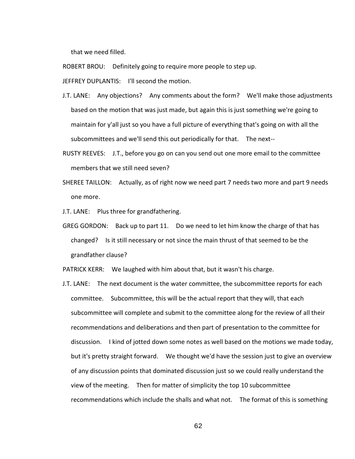that we need filled.

ROBERT BROU: Definitely going to require more people to step up.

JEFFREY DUPLANTIS: I'll second the motion.

- J.T. LANE: Any objections? Any comments about the form? We'll make those adjustments based on the motion that was just made, but again this is just something we're going to maintain for y'all just so you have a full picture of everything that's going on with all the subcommittees and we'll send this out periodically for that. The next--
- RUSTY REEVES: J.T., before you go on can you send out one more email to the committee members that we still need seven?
- SHEREE TAILLON: Actually, as of right now we need part 7 needs two more and part 9 needs one more.

J.T. LANE: Plus three for grandfathering.

GREG GORDON: Back up to part 11. Do we need to let him know the charge of that has changed? Is it still necessary or not since the main thrust of that seemed to be the grandfather clause?

PATRICK KERR: We laughed with him about that, but it wasn't his charge.

J.T. LANE: The next document is the water committee, the subcommittee reports for each committee. Subcommittee, this will be the actual report that they will, that each subcommittee will complete and submit to the committee along for the review of all their recommendations and deliberations and then part of presentation to the committee for discussion. I kind of jotted down some notes as well based on the motions we made today, but it's pretty straight forward. We thought we'd have the session just to give an overview of any discussion points that dominated discussion just so we could really understand the view of the meeting. Then for matter of simplicity the top 10 subcommittee recommendations which include the shalls and what not. The format of this is something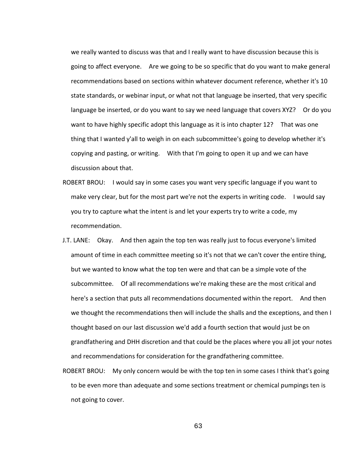we really wanted to discuss was that and I really want to have discussion because this is going to affect everyone. Are we going to be so specific that do you want to make general recommendations based on sections within whatever document reference, whether it's 10 state standards, or webinar input, or what not that language be inserted, that very specific language be inserted, or do you want to say we need language that covers XYZ? Or do you want to have highly specific adopt this language as it is into chapter 12? That was one thing that I wanted y'all to weigh in on each subcommittee's going to develop whether it's copying and pasting, or writing. With that I'm going to open it up and we can have discussion about that.

- ROBERT BROU: I would say in some cases you want very specific language if you want to make very clear, but for the most part we're not the experts in writing code. I would say you try to capture what the intent is and let your experts try to write a code, my recommendation.
- J.T. LANE: Okay. And then again the top ten was really just to focus everyone's limited amount of time in each committee meeting so it's not that we can't cover the entire thing, but we wanted to know what the top ten were and that can be a simple vote of the subcommittee. Of all recommendations we're making these are the most critical and here's a section that puts all recommendations documented within the report. And then we thought the recommendations then will include the shalls and the exceptions, and then I thought based on our last discussion we'd add a fourth section that would just be on grandfathering and DHH discretion and that could be the places where you all jot your notes and recommendations for consideration for the grandfathering committee.
- ROBERT BROU: My only concern would be with the top ten in some cases I think that's going to be even more than adequate and some sections treatment or chemical pumpings ten is not going to cover.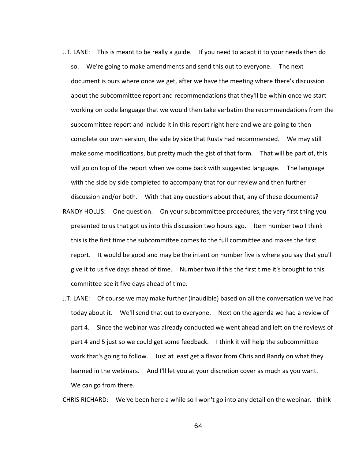- J.T. LANE: This is meant to be really a guide. If you need to adapt it to your needs then do so. We're going to make amendments and send this out to everyone. The next document is ours where once we get, after we have the meeting where there's discussion about the subcommittee report and recommendations that they'll be within once we start working on code language that we would then take verbatim the recommendations from the subcommittee report and include it in this report right here and we are going to then complete our own version, the side by side that Rusty had recommended. We may still make some modifications, but pretty much the gist of that form. That will be part of, this will go on top of the report when we come back with suggested language. The language with the side by side completed to accompany that for our review and then further discussion and/or both. With that any questions about that, any of these documents?
- RANDY HOLLIS: One question. On your subcommittee procedures, the very first thing you presented to us that got us into this discussion two hours ago. Item number two I think this is the first time the subcommittee comes to the full committee and makes the first report. It would be good and may be the intent on number five is where you say that you'll give it to us five days ahead of time. Number two if this the first time it's brought to this committee see it five days ahead of time.
- J.T. LANE: Of course we may make further (inaudible) based on all the conversation we've had today about it. We'll send that out to everyone. Next on the agenda we had a review of part 4. Since the webinar was already conducted we went ahead and left on the reviews of part 4 and 5 just so we could get some feedback. I think it will help the subcommittee work that's going to follow. Just at least get a flavor from Chris and Randy on what they learned in the webinars. And I'll let you at your discretion cover as much as you want. We can go from there.

CHRIS RICHARD: We've been here a while so I won't go into any detail on the webinar. I think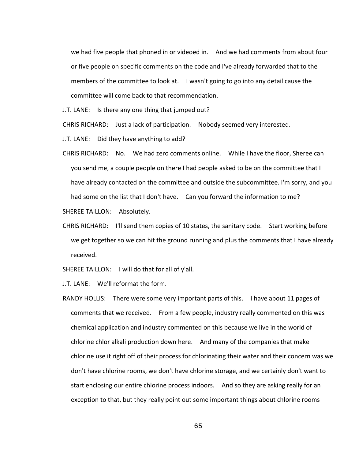we had five people that phoned in or videoed in. And we had comments from about four or five people on specific comments on the code and I've already forwarded that to the members of the committee to look at. I wasn't going to go into any detail cause the committee will come back to that recommendation.

J.T. LANE: Is there any one thing that jumped out?

CHRIS RICHARD: Just a lack of participation. Nobody seemed very interested.

J.T. LANE: Did they have anything to add?

CHRIS RICHARD: No. We had zero comments online. While I have the floor, Sheree can you send me, a couple people on there I had people asked to be on the committee that I have already contacted on the committee and outside the subcommittee. I'm sorry, and you had some on the list that I don't have. Can you forward the information to me?

SHEREE TAILLON: Absolutely.

CHRIS RICHARD: I'll send them copies of 10 states, the sanitary code. Start working before we get together so we can hit the ground running and plus the comments that I have already received.

SHEREE TAILLON: I will do that for all of y'all.

J.T. LANE: We'll reformat the form.

RANDY HOLLIS: There were some very important parts of this. I have about 11 pages of comments that we received. From a few people, industry really commented on this was chemical application and industry commented on this because we live in the world of chlorine chlor alkali production down here. And many of the companies that make chlorine use it right off of their process for chlorinating their water and their concern was we don't have chlorine rooms, we don't have chlorine storage, and we certainly don't want to start enclosing our entire chlorine process indoors. And so they are asking really for an exception to that, but they really point out some important things about chlorine rooms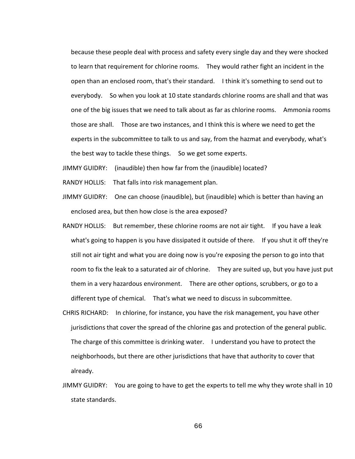because these people deal with process and safety every single day and they were shocked to learn that requirement for chlorine rooms. They would rather fight an incident in the open than an enclosed room, that's their standard. I think it's something to send out to everybody. So when you look at 10 state standards chlorine rooms are shall and that was one of the big issues that we need to talk about as far as chlorine rooms. Ammonia rooms those are shall. Those are two instances, and I think this is where we need to get the experts in the subcommittee to talk to us and say, from the hazmat and everybody, what's the best way to tackle these things. So we get some experts.

JIMMY GUIDRY: (inaudible) then how far from the (inaudible) located?

RANDY HOLLIS: That falls into risk management plan.

- JIMMY GUIDRY: One can choose (inaudible), but (inaudible) which is better than having an enclosed area, but then how close is the area exposed?
- RANDY HOLLIS: But remember, these chlorine rooms are not air tight. If you have a leak what's going to happen is you have dissipated it outside of there. If you shut it off they're still not air tight and what you are doing now is you're exposing the person to go into that room to fix the leak to a saturated air of chlorine. They are suited up, but you have just put them in a very hazardous environment. There are other options, scrubbers, or go to a different type of chemical. That's what we need to discuss in subcommittee.
- CHRIS RICHARD: In chlorine, for instance, you have the risk management, you have other jurisdictions that cover the spread of the chlorine gas and protection of the general public. The charge of this committee is drinking water. I understand you have to protect the neighborhoods, but there are other jurisdictions that have that authority to cover that already.
- JIMMY GUIDRY: You are going to have to get the experts to tell me why they wrote shall in 10 state standards.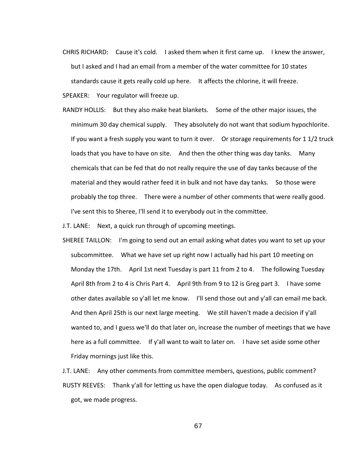- CHRIS RICHARD: Cause it's cold. I asked them when it first came up. I knew the answer, but I asked and I had an email from a member of the water committee for 10 states standards cause it gets really cold up here. It affects the chlorine, it will freeze.
- SPEAKER: Your regulator will freeze up.
- RANDY HOLLIS: But they also make heat blankets. Some of the other major issues, the minimum 30 day chemical supply. They absolutely do not want that sodium hypochlorite. If you want a fresh supply you want to turn it over. Or storage requirements for 1 1/2 truck loads that you have to have on site. And then the other thing was day tanks. Many chemicals that can be fed that do not really require the use of day tanks because of the material and they would rather feed it in bulk and not have day tanks. So those were probably the top three. There were a number of other comments that were really good. I've sent this to Sheree, I'll send it to everybody out in the committee.

J.T. LANE: Next, a quick run through of upcoming meetings.

SHEREE TAILLON: I'm going to send out an email asking what dates you want to set up your subcommittee. What we have set up right now I actually had his part 10 meeting on Monday the 17th. April 1st next Tuesday is part 11 from 2 to 4. The following Tuesday April 8th from 2 to 4 is Chris Part 4. April 9th from 9 to 12 is Greg part 3. I have some other dates available so y'all let me know. I'll send those out and y'all can email me back. And then April 25th is our next large meeting. We still haven't made a decision if y'all wanted to, and I guess we'll do that later on, increase the number of meetings that we have here as a full committee. If y'all want to wait to later on. I have set aside some other Friday mornings just like this.

J.T. LANE: Any other comments from committee members, questions, public comment? RUSTY REEVES: Thank y'all for letting us have the open dialogue today. As confused as it got, we made progress.